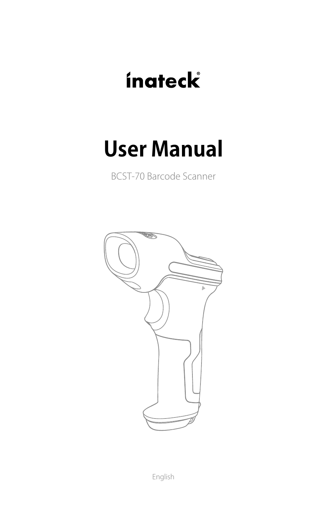# **ínateck**

## **User Manual**

BCST-70 Barcode Scanner



English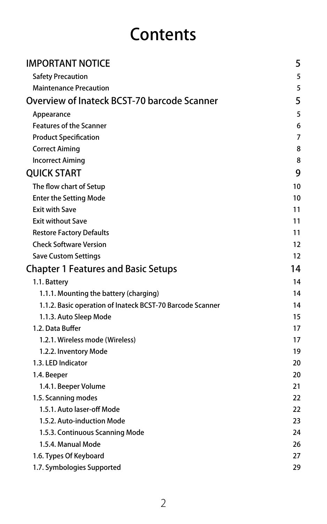## **Contents**

| <b>IMPORTANT NOTICE</b>                                   | 5  |
|-----------------------------------------------------------|----|
| <b>Safety Precaution</b>                                  | 5  |
| <b>Maintenance Precaution</b>                             | 5  |
| Overview of Inateck BCST-70 barcode Scanner               | 5  |
| Appearance                                                | 5  |
| <b>Features of the Scanner</b>                            | 6  |
| <b>Product Specification</b>                              | 7  |
| <b>Correct Aiming</b>                                     | 8  |
| <b>Incorrect Aiming</b>                                   | 8  |
| <b>OUICK START</b>                                        | 9  |
| The flow chart of Setup                                   | 10 |
| <b>Enter the Setting Mode</b>                             | 10 |
| <b>Exit with Save</b>                                     | 11 |
| <b>Exit without Save</b>                                  | 11 |
| <b>Restore Factory Defaults</b>                           | 11 |
| <b>Check Software Version</b>                             | 12 |
| <b>Save Custom Settings</b>                               | 12 |
| <b>Chapter 1 Features and Basic Setups</b>                | 14 |
| 1.1. Battery                                              | 14 |
| 1.1.1. Mounting the battery (charging)                    | 14 |
| 1.1.2. Basic operation of Inateck BCST-70 Barcode Scanner | 14 |
| 1.1.3. Auto Sleep Mode                                    | 15 |
| 1.2. Data Buffer                                          | 17 |
| 1.2.1. Wireless mode (Wireless)                           | 17 |
| 1.2.2. Inventory Mode                                     | 19 |
| 1.3. LED Indicator                                        | 20 |
| 1.4. Beeper                                               | 20 |
| 1.4.1. Beeper Volume                                      | 21 |
| 1.5. Scanning modes                                       | 22 |
| 1.5.1. Auto laser-off Mode                                | 22 |
| 1.5.2. Auto-induction Mode                                | 23 |
| 1.5.3. Continuous Scanning Mode                           | 24 |
| 1.5.4. Manual Mode                                        | 26 |
| 1.6. Types Of Keyboard                                    | 27 |
| 1.7. Symbologies Supported                                | 29 |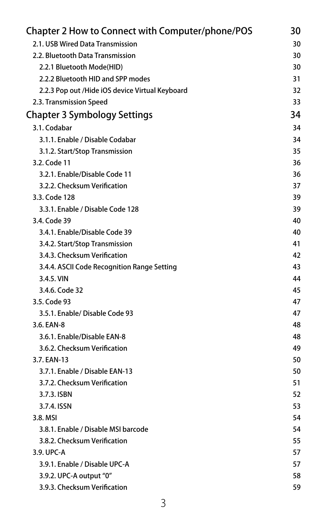| <b>Chapter 2 How to Connect with Computer/phone/POS</b> | 30 |
|---------------------------------------------------------|----|
| 2.1. USB Wired Data Transmission                        | 30 |
| 2.2. Bluetooth Data Transmission                        | 30 |
| 2.2.1 Bluetooth Mode(HID)                               | 30 |
| 2.2.2 Bluetooth HID and SPP modes                       | 31 |
| 2.2.3 Pop out /Hide iOS device Virtual Keyboard         | 32 |
| 2.3. Transmission Speed                                 | 33 |
| <b>Chapter 3 Symbology Settings</b>                     | 34 |
| 3.1. Codabar                                            | 34 |
| 3.1.1. Enable / Disable Codabar                         | 34 |
| 3.1.2. Start/Stop Transmission                          | 35 |
| 3.2. Code 11                                            | 36 |
| 3.2.1. Enable/Disable Code 11                           | 36 |
| 3.2.2. Checksum Verification                            | 37 |
| 3.3. Code 128                                           | 39 |
| 3.3.1. Enable / Disable Code 128                        | 39 |
| 3.4. Code 39                                            | 40 |
| 3.4.1. Enable/Disable Code 39                           | 40 |
| 3.4.2. Start/Stop Transmission                          | 41 |
| 3.4.3. Checksum Verification                            | 42 |
| 3.4.4. ASCII Code Recognition Range Setting             | 43 |
| 3.4.5. VIN                                              | 44 |
| 3.4.6. Code 32                                          | 45 |
| 3.5. Code 93                                            | 47 |
| 3.5.1. Enable/ Disable Code 93                          | 47 |
| 3.6. EAN-8                                              | 48 |
| 3.6.1. Enable/Disable EAN-8                             | 48 |
| 3.6.2. Checksum Verification                            | 49 |
| 3.7. EAN-13                                             | 50 |
| 3.7.1. Enable / Disable EAN-13                          | 50 |
| 3.7.2. Checksum Verification                            | 51 |
| 3.7.3. ISBN                                             | 52 |
| 3.7.4. ISSN                                             | 53 |
| 3.8. MSI                                                | 54 |
| 3.8.1. Enable / Disable MSI barcode                     | 54 |
| 3.8.2. Checksum Verification                            | 55 |
| 3.9. UPC-A                                              | 57 |
| 3.9.1. Enable / Disable UPC-A                           | 57 |
| 3.9.2. UPC-A output "0"                                 | 58 |
| 3.9.3. Checksum Verification                            | 59 |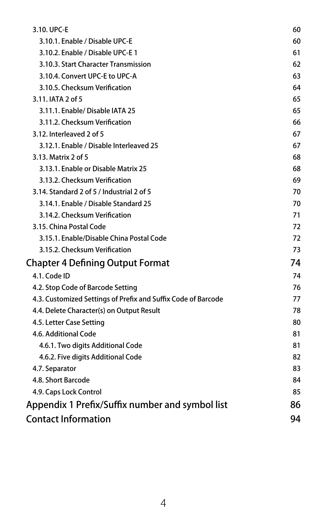| 3.10. UPC-E                                                   | 60 |
|---------------------------------------------------------------|----|
| 3.10.1. Enable / Disable UPC-E                                | 60 |
| 3.10.2. Enable / Disable UPC-E 1                              | 61 |
| 3.10.3. Start Character Transmission                          | 62 |
| 3.10.4. Convert UPC-E to UPC-A                                | 63 |
| 3.10.5. Checksum Verification                                 | 64 |
| 3.11. IATA 2 of 5                                             | 65 |
| 3.11.1. Enable/ Disable IATA 25                               | 65 |
| 3.11.2. Checksum Verification                                 | 66 |
| 3.12. Interleaved 2 of 5                                      | 67 |
| 3.12.1. Enable / Disable Interleaved 25                       | 67 |
| 3.13. Matrix 2 of 5                                           | 68 |
| 3.13.1. Enable or Disable Matrix 25                           | 68 |
| 3.13.2. Checksum Verification                                 | 69 |
| 3.14. Standard 2 of 5 / Industrial 2 of 5                     | 70 |
| 3.14.1. Enable / Disable Standard 25                          | 70 |
| 3.14.2. Checksum Verification                                 | 71 |
| 3.15. China Postal Code                                       | 72 |
| 3.15.1. Enable/Disable China Postal Code                      | 72 |
| 3.15.2. Checksum Verification                                 | 73 |
| <b>Chapter 4 Defining Output Format</b>                       | 74 |
| 4.1. Code ID                                                  | 74 |
| 4.2. Stop Code of Barcode Setting                             | 76 |
| 4.3. Customized Settings of Prefix and Suffix Code of Barcode | 77 |
| 4.4. Delete Character(s) on Output Result                     | 78 |
| 4.5. Letter Case Setting                                      | 80 |
| 4.6. Additional Code                                          | 81 |
| 4.6.1. Two digits Additional Code                             | 81 |
| 4.6.2. Five digits Additional Code                            | 82 |
| 4.7. Separator                                                | 83 |
| 4.8. Short Barcode                                            | 84 |
| 4.9. Caps Lock Control                                        | 85 |
| Appendix 1 Prefix/Suffix number and symbol list               | 86 |
| <b>Contact Information</b>                                    | 94 |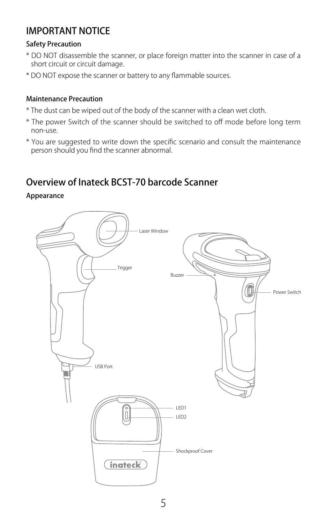### <span id="page-4-0"></span>IMPORTANT NOTICE

#### Safety Precaution

- \* DO NOT disassemble the scanner, or place foreign matter into the scanner in case of a short circuit or circuit damage.
- \* DO NOT expose the scanner or battery to any flammable sources.

#### Maintenance Precaution

- \* The dust can be wiped out of the body of the scanner with a clean wet cloth.
- \* The power Switch of the scanner should be switched to off mode before long term non-use.
- \* You are suggested to write down the specific scenario and consult the maintenance person should you find the scanner abnormal.

### Overview of Inateck BCST-70 barcode Scanner

Appearance

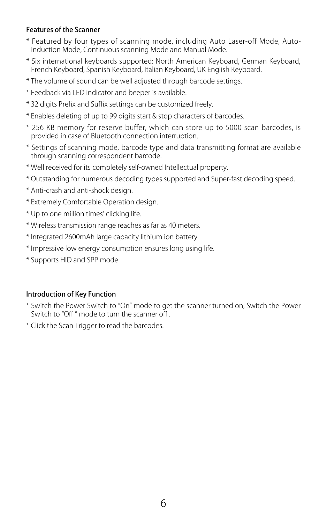#### <span id="page-5-0"></span>Features of the Scanner

- \* Featured by four types of scanning mode, including Auto Laser-off Mode, Autoinduction Mode, Continuous scanning Mode and Manual Mode.
- \* Six international keyboards supported: North American Keyboard, German Keyboard, French Keyboard, Spanish Keyboard, Italian Keyboard, UK English Keyboard.
- \* The volume of sound can be well adjusted through barcode settings.
- \* Feedback via LED indicator and beeper is available.
- \* 32 digits Prefix and Suffix settings can be customized freely.
- \* Enables deleting of up to 99 digits start & stop characters of barcodes.
- \* 256 KB memory for reserve buffer, which can store up to 5000 scan barcodes, is provided in case of Bluetooth connection interruption.
- \* Settings of scanning mode, barcode type and data transmitting format are available through scanning correspondent barcode.
- \* Well received for its completely self-owned Intellectual property.
- \* Outstanding for numerous decoding types supported and Super-fast decoding speed.
- \* Anti-crash and anti-shock design.
- \* Extremely Comfortable Operation design.
- \* Up to one million times' clicking life.
- \* Wireless transmission range reaches as far as 40 meters.
- \* Integrated 2600mAh large capacity lithium ion battery.
- \* Impressive low energy consumption ensures long using life.
- \* Supports HID and SPP mode

#### Introduction of Key Function

- \* Switch the Power Switch to "On" mode to get the scanner turned on; Switch the Power Switch to "Off " mode to turn the scanner off .
- \* Click the Scan Trigger to read the barcodes.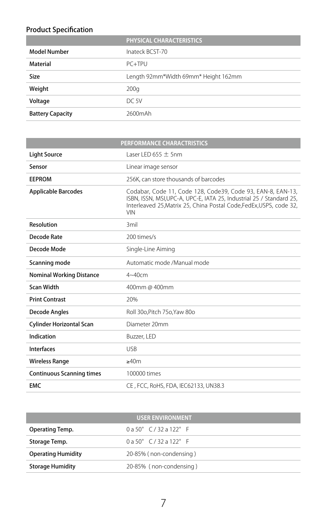#### <span id="page-6-0"></span>Product Specification

|                         | <b>PHYSICAL CHARACTERISTICS</b>      |
|-------------------------|--------------------------------------|
| <b>Model Number</b>     | Inateck BCST-70                      |
| <b>Material</b>         | $PC+TPU$                             |
| Size                    | Length 92mm*Width 69mm* Height 162mm |
| Weight                  | 200q                                 |
| Voltage                 | DC 5V                                |
| <b>Battery Capacity</b> | 2600mAh                              |

| PERFORMANCE CHARACTRISTICS       |                                                                                                                                                                                                                         |  |
|----------------------------------|-------------------------------------------------------------------------------------------------------------------------------------------------------------------------------------------------------------------------|--|
| <b>Light Source</b>              | Laser LED $655 + 5$ nm                                                                                                                                                                                                  |  |
| Sensor                           | Linear image sensor                                                                                                                                                                                                     |  |
| <b>EEPROM</b>                    | 256K, can store thousands of barcodes                                                                                                                                                                                   |  |
| <b>Applicable Barcodes</b>       | Codabar, Code 11, Code 128, Code39, Code 93, EAN-8, EAN-13,<br>ISBN, ISSN, MSI,UPC-A, UPC-E, IATA 25, Industrial 25 / Standard 25,<br>Interleaved 25, Matrix 25, China Postal Code, FedEx, USPS, code 32,<br><b>VIN</b> |  |
| Resolution                       | 3mil                                                                                                                                                                                                                    |  |
| Decode Rate                      | 200 times/s                                                                                                                                                                                                             |  |
| Decode Mode                      | Single-Line Aiming                                                                                                                                                                                                      |  |
| Scanning mode                    | Automatic mode /Manual mode                                                                                                                                                                                             |  |
| <b>Nominal Working Distance</b>  | $4 - 40$ cm                                                                                                                                                                                                             |  |
| <b>Scan Width</b>                | 400mm @ 400mm                                                                                                                                                                                                           |  |
| <b>Print Contrast</b>            | 20%                                                                                                                                                                                                                     |  |
| <b>Decode Angles</b>             | Roll 30o.Pitch 75o.Yaw 80o                                                                                                                                                                                              |  |
| <b>Cylinder Horizontal Scan</b>  | Diameter 20mm                                                                                                                                                                                                           |  |
| Indication                       | Buzzer, LED                                                                                                                                                                                                             |  |
| <b>Interfaces</b>                | <b>USB</b>                                                                                                                                                                                                              |  |
| <b>Wireless Range</b>            | >40m                                                                                                                                                                                                                    |  |
| <b>Continuous Scanning times</b> | 100000 times                                                                                                                                                                                                            |  |
| <b>EMC</b>                       | CE, FCC, RoHS, FDA, IEC62133, UN38.3                                                                                                                                                                                    |  |

| <b>USER ENVIRONMENT</b>   |                              |  |
|---------------------------|------------------------------|--|
| Operating Temp.           | $0a50^{\circ}$ C/32 a 122° F |  |
| Storage Temp.             | $0a50^{\circ}$ C/32 a 122° F |  |
| <b>Operating Humidity</b> | 20-85% (non-condensing)      |  |
| <b>Storage Humidity</b>   | 20-85% (non-condensing)      |  |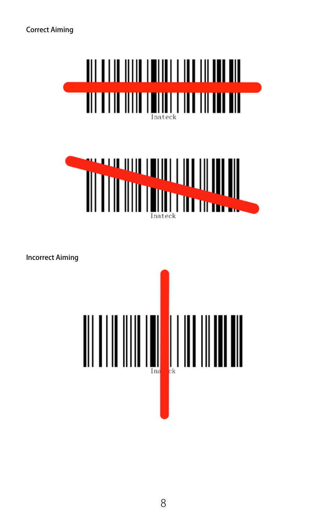<span id="page-7-0"></span>Correct Aiming





Incorrect Aiming

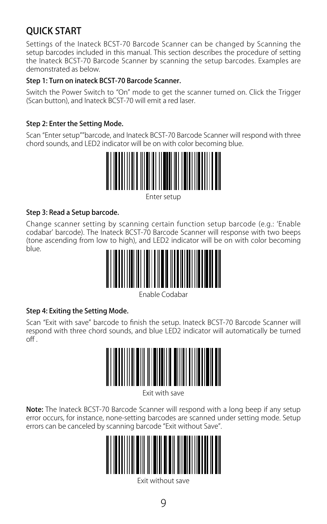## <span id="page-8-0"></span>QUICK START

Settings of the Inateck BCST-70 Barcode Scanner can be changed by Scanning the setup barcodes included in this manual. This section describes the procedure of setting the Inateck BCST-70 Barcode Scanner by scanning the setup barcodes. Examples are demonstrated as below.

#### Step 1: Turn on inateck BCST-70 Barcode Scanner.

Switch the Power Switch to "On" mode to get the scanner turned on. Click the Trigger (Scan button), and Inateck BCST-70 will emit a red laser.

#### Step 2: Enter the Setting Mode.

Scan "Enter setup""barcode, and Inateck BCST-70 Barcode Scanner will respond with three chord sounds, and LED2 indicator will be on with color becoming blue.



Enter setup

#### Step 3: Read a Setup barcode.

Change scanner setting by scanning certain function setup barcode (e.g.: 'Enable codabar' barcode). The Inateck BCST-70 Barcode Scanner will response with two beeps (tone ascending from low to high), and LED2 indicator will be on with color becoming blue.



Enable Codabar

#### Step 4: Exiting the Setting Mode.

Scan "Exit with save" barcode to finish the setup. Inateck BCST-70 Barcode Scanner will respond with three chord sounds, and blue LED2 indicator will automatically be turned  $\overline{f}$ 



Exit with save

Note: The Inateck BCST-70 Barcode Scanner will respond with a long beep if any setup error occurs, for instance, none-setting barcodes are scanned under setting mode. Setup errors can be canceled by scanning barcode "Exit without Save".



Exit without save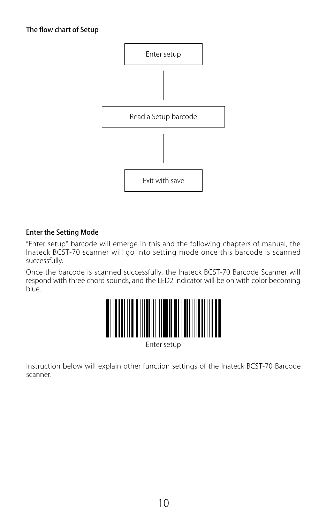<span id="page-9-0"></span>

#### Enter the Setting Mode

"Enter setup" barcode will emerge in this and the following chapters of manual, the Inateck BCST-70 scanner will go into setting mode once this barcode is scanned successfully.

Once the barcode is scanned successfully, the Inateck BCST-70 Barcode Scanner will respond with three chord sounds, and the LED2 indicator will be on with color becoming blue.



Enter setup

Instruction below will explain other function settings of the Inateck BCST-70 Barcode scanner.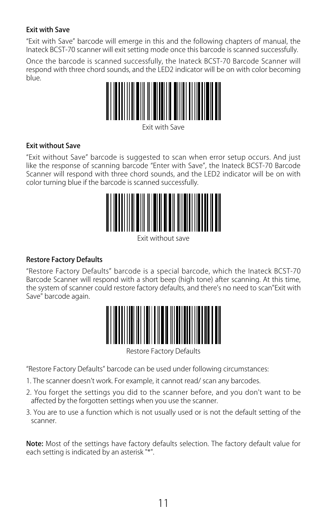#### <span id="page-10-0"></span>Exit with Save

"Exit with Save" barcode will emerge in this and the following chapters of manual, the Inateck BCST-70 scanner will exit setting mode once this barcode is scanned successfully.

Once the barcode is scanned successfully, the Inateck BCST-70 Barcode Scanner will respond with three chord sounds, and the LED2 indicator will be on with color becoming blue.



Exit with Save

#### Exit without Save

"Exit without Save" barcode is suggested to scan when error setup occurs. And just like the response of scanning barcode "Enter with Save", the Inateck BCST-70 Barcode Scanner will respond with three chord sounds, and the LED2 indicator will be on with color turning blue if the barcode is scanned successfully.



Exit without save

#### Restore Factory Defaults

"Restore Factory Defaults" barcode is a special barcode, which the Inateck BCST-70 Barcode Scanner will respond with a short beep (high tone) after scanning. At this time, the system of scanner could restore factory defaults, and there's no need to scan"Exit with Save" barcode again.



Restore Factory Defaults

"Restore Factory Defaults" barcode can be used under following circumstances:

- 1. The scanner doesn't work. For example, it cannot read/ scan any barcodes.
- 2. You forget the settings you did to the scanner before, and you don't want to be affected by the forgotten settings when you use the scanner.
- 3. You are to use a function which is not usually used or is not the default setting of the scanner.

Note: Most of the settings have factory defaults selection. The factory default value for each setting is indicated by an asterisk "\*".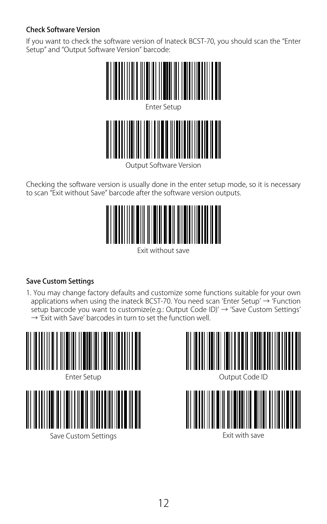#### <span id="page-11-0"></span>Check Software Version

If you want to check the software version of Inateck BCST-70, you should scan the "Enter Setup" and "Output Software Version" barcode:



Output Software Version

Checking the software version is usually done in the enter setup mode, so it is necessary to scan "Exit without Save" barcode after the software version outputs.



Exit without save

#### Save Custom Settings

1. You may change factory defaults and customize some functions suitable for your own applications when using the inateck BCST-70. You need scan 'Enter Setup' → 'Function setup barcode you want to customize(e.g.: Output Code ID)' → 'Save Custom Settings'  $\rightarrow$  'Exit with Save' barcodes in turn to set the function well.





Save Custom Settings



Output Code ID



Exit with save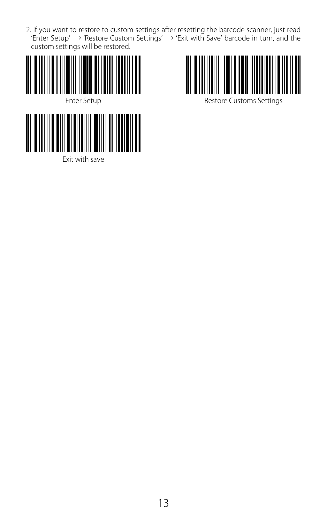2. If you want to restore to custom settings after resetting the barcode scanner, just read 'Enter Setup' → 'Restore Custom Settings' → 'Exit with Save' barcode in turn, and the custom settings will be restored.





Exit with save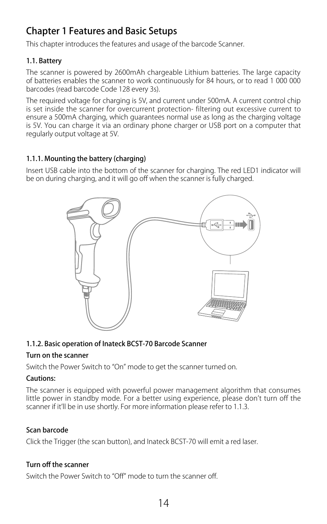## <span id="page-13-0"></span>Chapter 1 Features and Basic Setups

This chapter introduces the features and usage of the barcode Scanner.

#### 1.1. Battery

The scanner is powered by 2600mAh chargeable Lithium batteries. The large capacity of batteries enables the scanner to work continuously for 84 hours, or to read 1 000 000 barcodes (read barcode Code 128 every 3s).

The required voltage for charging is 5V, and current under 500mA. A current control chip is set inside the scanner for overcurrent protection- filtering out excessive current to ensure a 500mA charging, which guarantees normal use as long as the charging voltage is 5V. You can charge it via an ordinary phone charger or USB port on a computer that regularly output voltage at 5V.

#### 1.1.1. Mounting the battery (charging)

Insert USB cable into the bottom of the scanner for charging. The red LED1 indicator will be on during charging, and it will go off when the scanner is fully charged.



#### 1.1.2. Basic operation of Inateck BCST-70 Barcode Scanner

#### Turn on the scanner

Switch the Power Switch to "On" mode to get the scanner turned on.

#### Cautions:

The scanner is equipped with powerful power management algorithm that consumes little power in standby mode. For a better using experience, please don't turn off the scanner if it'll be in use shortly. For more information please refer to 1.1.3.

#### Scan barcode

Click the Trigger (the scan button), and Inateck BCST-70 will emit a red laser.

#### Turn off the scanner

Switch the Power Switch to "Off" mode to turn the scanner off.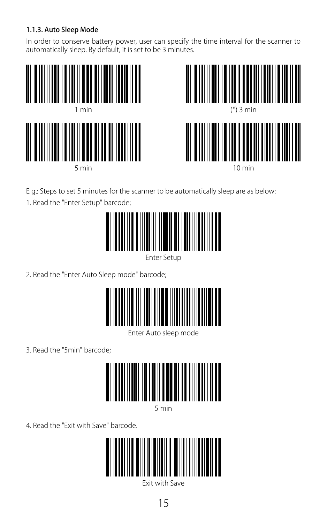#### <span id="page-14-0"></span>1.1.3. Auto Sleep Mode

In order to conserve battery power, user can specify the time interval for the scanner to automatically sleep. By default, it is set to be 3 minutes.





E g.: Steps to set 5 minutes for the scanner to be automatically sleep are as below:

1. Read the "Enter Setup" barcode;



Enter Setup

2. Read the "Enter Auto Sleep mode" barcode;



Enter Auto sleep mode

3. Read the "5min" barcode;



5 min

4. Read the "Exit with Save" barcode.



Exit with Save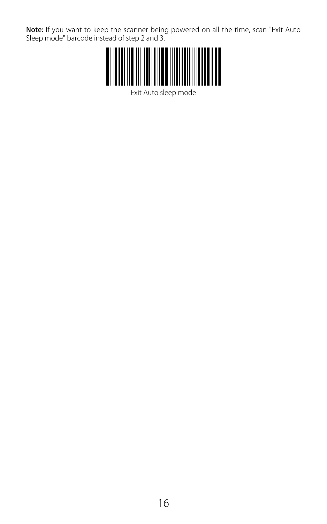**Note:** If you want to keep the scanner being powered on all the time, scan "Exit Auto<br>Sleep mode" barcode instead of step 2 and 3.



Exit Auto sleep mode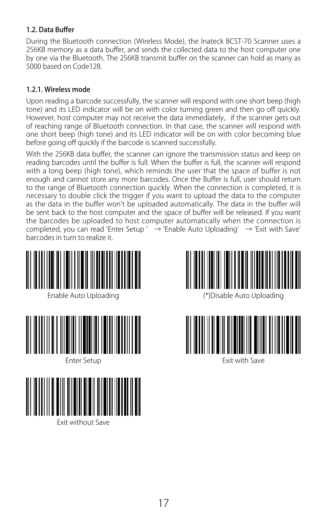#### <span id="page-16-0"></span>1.2. Data Buffer

During the Bluetooth connection (Wireless Mode), the Inateck BCST-70 Scanner uses a 256KB memory as a data buffer, and sends the collected data to the host computer one by one via the Bluetooth. The 256KB transmit buffer on the scanner can hold as many as 5000 based on Code128.

#### 1.2.1. Wireless mode

Upon reading a barcode successfully, the scanner will respond with one short beep (high tone) and its LED indicator will be on with color turning green and then go off quickly. However, host computer may not receive the data immediately, if the scanner gets out of reaching range of Bluetooth connection. In that case, the scanner will respond with one short beep (high tone) and its LED indicator will be on with color becoming blue before going off quickly if the barcode is scanned successfully.

With the 256KB data buffer, the scanner can ignore the transmission status and keep on reading barcodes until the buffer is full. When the buffer is full, the scanner will respond with a long beep (high tone), which reminds the user that the space of buffer is not enough and cannot store any more barcodes. Once the Buffer is full, user should return to the range of Bluetooth connection quickly. When the connection is completed, it is necessary to double click the trigger if you want to upload the data to the computer as the data in the buffer won't be uploaded automatically. The data in the buffer will be sent back to the host computer and the space of buffer will be released. If you want the barcodes be uploaded to host computer automatically when the connection is completed, you can read 'Enter Setup '  $\rightarrow$  'Enable Auto Uploading'  $\rightarrow$  'Exit with Save' barcodes in turn to realize it.





Exit without Save





Exit with Save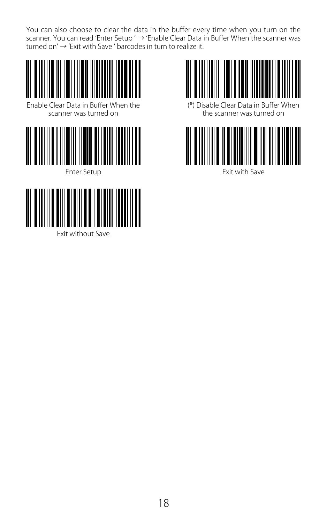You can also choose to clear the data in the buffer every time when you turn on the scanner. You can read 'Enter Setup ' → 'Enable Clear Data in Buffer When the scanner was turned on' → 'Exit with Save ' barcodes in turn to realize it.





Exit without Save



(\*) Disable Clear Data in Buffer When the scanner was turned on



Enter Setup **Exit with Save**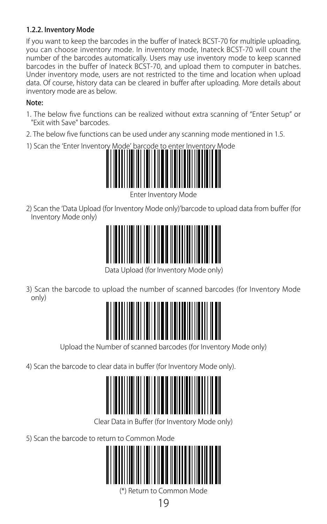#### <span id="page-18-0"></span>1.2.2. Inventory Mode

If you want to keep the barcodes in the buffer of Inateck BCST-70 for multiple uploading, you can choose inventory mode. In inventory mode, Inateck BCST-70 will count the number of the barcodes automatically. Users may use inventory mode to keep scanned barcodes in the buffer of Inateck BCST-70, and upload them to computer in batches. Under inventory mode, users are not restricted to the time and location when upload data. Of course, history data can be cleared in buffer after uploading. More details about inventory mode are as below.

#### Note:

- 1. The below five functions can be realized without extra scanning of "Enter Setup" or "Exit with Save" barcodes.
- 2. The below five functions can be used under any scanning mode mentioned in 1.5.
- 1) Scan the 'Enter Inventory Mode' barcode to enter Inventory Mode



Enter Inventory Mode

2) Scan the 'Data Upload (for Inventory Mode only)'barcode to upload data from buffer (for Inventory Mode only)



Data Upload (for Inventory Mode only)

3) Scan the barcode to upload the number of scanned barcodes (for Inventory Mode only)



Upload the Number of scanned barcodes (for Inventory Mode only)

4) Scan the barcode to clear data in buffer (for Inventory Mode only).



Clear Data in Buffer (for Inventory Mode only)

5) Scan the barcode to return to Common Mode



(\*) Return to Common Mode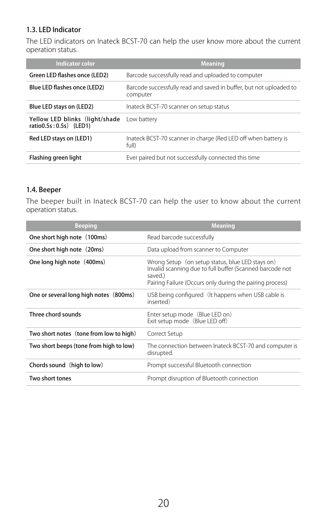#### <span id="page-19-0"></span>1.3. LED Indicator

The LED indicators on Inateck BCST-70 can help the user know more about the current operation status.

| Indicator color                                           | <b>Meaning</b>                                                                 |
|-----------------------------------------------------------|--------------------------------------------------------------------------------|
| Green LED flashes once (LED2)                             | Barcode successfully read and uploaded to computer                             |
| Blue LED flashes once (LED2)                              | Barcode successfully read and saved in buffer, but not uploaded to<br>computer |
| Blue LED stays on (LED2)                                  | Inateck BCST-70 scanner on setup status                                        |
| Yellow LED blinks (light/shade<br>ratio0.5s: 0.5s) (LED1) | Low battery                                                                    |
| Red LED stays on (LED1)                                   | Inateck BCST-70 scanner in charge (Red LED off when battery is<br>full)        |
| Flashing green light                                      | Ever paired but not successfully connected this time                           |

#### 1.4. Beeper

The beeper built in Inateck BCST-70 can help the user to know about the current operation status.

| <b>Beeping</b>                          | <b>Meaning</b>                                                                                                                                                                      |
|-----------------------------------------|-------------------------------------------------------------------------------------------------------------------------------------------------------------------------------------|
| One short high note (100ms)             | Read barcode successfully                                                                                                                                                           |
| One short high note (20ms)              | Data upload from scanner to Computer                                                                                                                                                |
| One long high note (400ms)              | Wrong Setup (on setup status, blue LED stays on)<br>Invalid scanning due to full buffer (Scanned barcode not<br>saved.)<br>Pairing Failure (Occurs only during the pairing process) |
| One or several long high notes (800ms)  | USB being configured (It happens when USB cable is<br>inserted)                                                                                                                     |
| Three chord sounds                      | Enter setup mode (Blue LED on)<br>Exit setup mode (Blue LED off)                                                                                                                    |
| Two short notes (tone from low to high) | Correct Setup                                                                                                                                                                       |
| Two short beeps (tone from high to low) | The connection between Inateck BCST-70 and computer is<br>disrupted.                                                                                                                |
| Chords sound (high to low)              | Prompt successful Bluetooth connection                                                                                                                                              |
| Two short tones                         | Prompt disruption of Bluetooth connection                                                                                                                                           |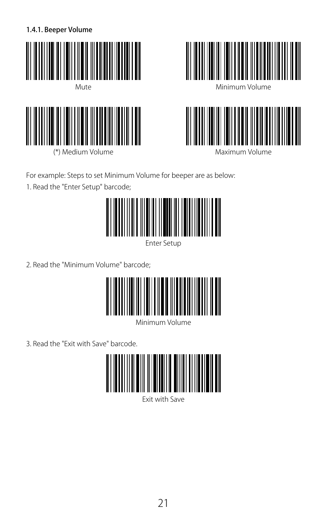<span id="page-20-0"></span>1.4.1. Beeper Volume





(\*) Medium Volume



Minimum Volume



Maximum Volume

For example: Steps to set Minimum Volume for beeper are as below:

1. Read the "Enter Setup" barcode;



Enter Setup

2. Read the "Minimum Volume" barcode;



Minimum Volume

3. Read the "Exit with Save" barcode.



Exit with Save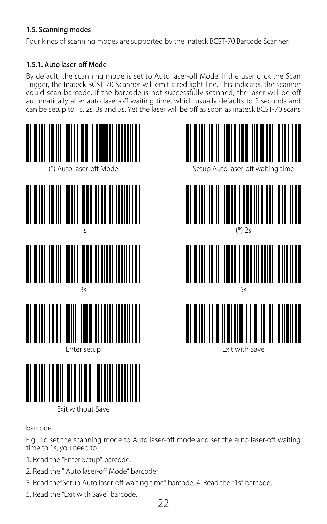#### <span id="page-21-0"></span>1.5. Scanning modes

Four kinds of scanning modes are supported by the Inateck BCST-70 Barcode Scanner:

#### 1.5.1. Auto laser-off Mode

By default, the scanning mode is set to Auto laser-off Mode. If the user click the Scan Trigger, the Inateck BCST-70 Scanner will emit a red light line. This indicates the scanner could scan barcode. If the barcode is not successfully scanned, the laser will be off automatically after auto laser-off waiting time, which usually defaults to 2 seconds and can be setup to 1s, 2s, 3s and 5s. Yet the laser will be off as soon as Inateck BCST-70 scans





barcode.

E.g.: To set the scanning mode to Auto laser-off mode and set the auto laser-off waiting time to 1s, you need to:

1. Read the "Enter Setup" barcode;

Exit without Save

- 2. Read the " Auto laser-off Mode" barcode;
- 3. Read the"Setup Auto laser-off waiting time" barcode; 4. Read the "1s" barcode;
- 5. Read the "Exit with Save" barcode.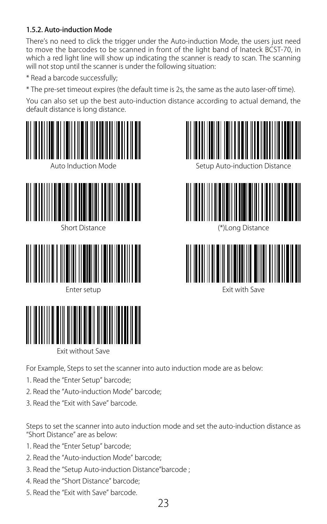#### <span id="page-22-0"></span>1.5.2. Auto-induction Mode

There's no need to click the trigger under the Auto-induction Mode, the users just need to move the barcodes to be scanned in front of the light band of Inateck BCST-70, in which a red light line will show up indicating the scanner is ready to scan. The scanning will not stop until the scanner is under the following situation:

- \* Read a barcode successfully;
- \* The pre-set timeout expires (the default time is 2s, the same as the auto laser-off time).

You can also set up the best auto-induction distance according to actual demand, the default distance is long distance.



Exit without Save

Setup Auto-induction Distance



(\*)Long Distance



Exit with Save

For Example, Steps to set the scanner into auto induction mode are as below:

- 1. Read the "Enter Setup" barcode;
- 2. Read the "Auto-induction Mode" barcode;
- 3. Read the "Exit with Save" barcode.

Steps to set the scanner into auto induction mode and set the auto-induction distance as "Short Distance" are as below:

- 1. Read the "Enter Setup" barcode;
- 2. Read the "Auto-induction Mode" barcode;
- 3. Read the "Setup Auto-induction Distance"barcode ;
- 4. Read the "Short Distance" barcode;
- 5. Read the "Exit with Save" barcode.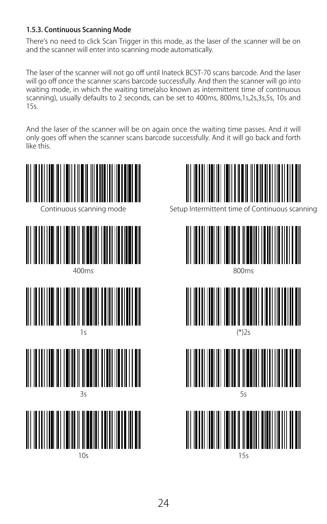#### <span id="page-23-0"></span>1.5.3. Continuous Scanning Mode

There's no need to click Scan Trigger in this mode, as the laser of the scanner will be on and the scanner will enter into scanning mode automatically.

The laser of the scanner will not go off until Inateck BCST-70 scans barcode. And the laser will go off once the scanner scans barcode successfully. And then the scanner will go into waiting mode, in which the waiting time(also known as intermittent time of continuous scanning), usually defaults to 2 seconds, can be set to 400ms, 800ms,1s,2s,3s,5s, 10s and 15s.

And the laser of the scanner will be on again once the waiting time passes. And it will only goes off when the scanner scans barcode successfully. And it will go back and forth like this.





Setup Intermittent time of Continuous scanning



800ms



(\*)2s





15s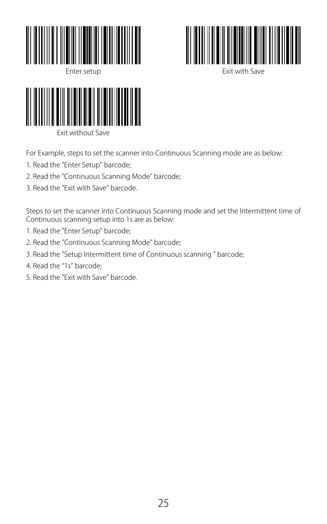



Exit with Save



For Example, steps to set the scanner into Continuous Scanning mode are as below:

- 1. Read the "Enter Setup" barcode;
- 2. Read the "Continuous Scanning Mode" barcode;
- 3. Read the "Exit with Save" barcode.

Steps to set the scanner into Continuous Scanning mode and set the Intermittent time of Continuous scanning setup into 1s are as below:

- 1. Read the "Enter Setup" barcode;
- 2. Read the "Continuous Scanning Mode" barcode;
- 3. Read the "Setup Intermittent time of Continuous scanning " barcode;
- 4. Read the "1s" barcode;
- 5. Read the "Exit with Save" barcode.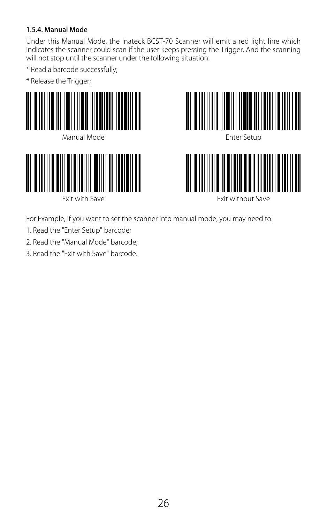#### <span id="page-25-0"></span>1.5.4. Manual Mode

Under this Manual Mode, the Inateck BCST-70 Scanner will emit a red light line which indicates the scanner could scan if the user keeps pressing the Trigger. And the scanning will not stop until the scanner under the following situation.

- \* Read a barcode successfully;
- \* Release the Trigger;





Exit with Save





Exit without Save

For Example, If you want to set the scanner into manual mode, you may need to:

- 1. Read the "Enter Setup" barcode;
- 2. Read the "Manual Mode" barcode;
- 3. Read the "Exit with Save" barcode.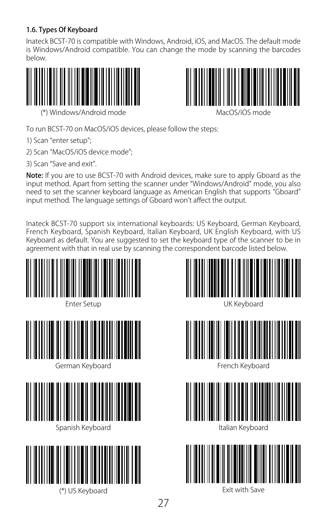#### <span id="page-26-0"></span>1.6. Types Of Keyboard

Inateck BCST-70 is compatible with Windows, Android, iOS, and MacOS. The default mode is Windows/Android compatible. You can change the mode by scanning the barcodes below.





(\*) Windows/Android mode

MacOS/iOS mode

To run BCST-70 on MacOS/iOS devices, please follow the steps:

- 1) Scan "enter setup";
- 2) Scan "MacOS/iOS device mode";
- 3) Scan "Save and exit".

Note: If you are to use BCST-70 with Android devices, make sure to apply Gboard as the input method. Apart from setting the scanner under "Windows/Android" mode, you also need to set the scanner keyboard language as American English that supports "Gboard" input method. The language settings of Gboard won't affect the output.

Inateck BCST-70 support six international keyboards: US Keyboard, German Keyboard, French Keyboard, Spanish Keyboard, Italian Keyboard, UK English Keyboard, with US Keyboard as default. You are suggested to set the keyboard type of the scanner to be in agreement with that in real use by scanning the correspondent barcode listed below.







French Keyboard



Italian Keyboard



Exit with Save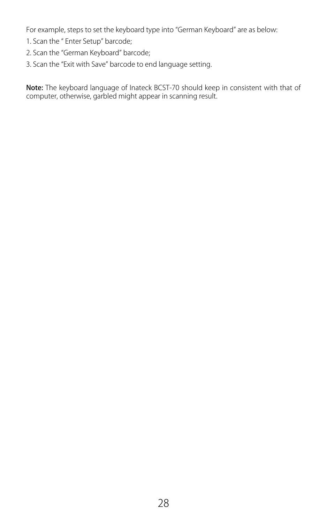For example, steps to set the keyboard type into "German Keyboard" are as below:

- 1. Scan the " Enter Setup" barcode;
- 2. Scan the "German Keyboard" barcode;
- 3. Scan the "Exit with Save" barcode to end language setting.

Note: The keyboard language of Inateck BCST-70 should keep in consistent with that of computer, otherwise, garbled might appear in scanning result.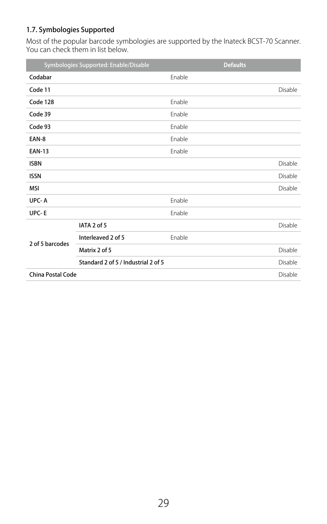#### <span id="page-28-0"></span>1.7. Symbologies Supported

Most of the popular barcode symbologies are supported by the Inateck BCST-70 Scanner.<br>You can check them in list below.

|                          | Symbologies Supported: Enable/Disable |        | <b>Defaults</b> |         |
|--------------------------|---------------------------------------|--------|-----------------|---------|
| Codabar                  |                                       | Enable |                 |         |
| Code 11                  |                                       |        |                 | Disable |
| Code 128                 |                                       | Enable |                 |         |
| Code 39                  |                                       | Enable |                 |         |
| Code 93                  |                                       | Enable |                 |         |
| EAN-8                    |                                       | Enable |                 |         |
| <b>EAN-13</b>            |                                       | Enable |                 |         |
| <b>ISBN</b>              |                                       |        |                 | Disable |
| <b>ISSN</b>              |                                       |        |                 | Disable |
| <b>MSI</b>               |                                       |        |                 | Disable |
| UPC-A                    |                                       | Enable |                 |         |
| UPC-E                    |                                       | Enable |                 |         |
| 2 of 5 barcodes          | IATA 2 of 5                           |        |                 | Disable |
|                          | Interleaved 2 of 5                    | Enable |                 |         |
|                          | Matrix 2 of 5                         |        |                 | Disable |
|                          | Standard 2 of 5 / Industrial 2 of 5   |        |                 | Disable |
| <b>China Postal Code</b> |                                       |        |                 | Disable |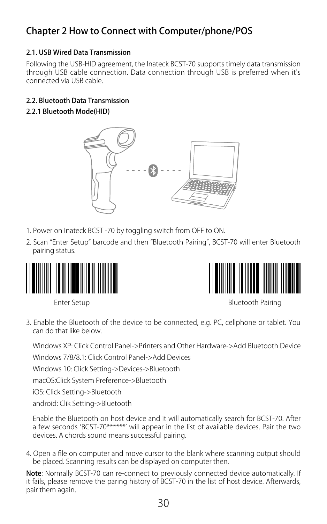## <span id="page-29-0"></span>Chapter 2 How to Connect with Computer/phone/POS

#### 2.1. USB Wired Data Transmission

Following the USB-HID agreement, the Inateck BCST-70 supports timely data transmission through USB cable connection. Data connection through USB is preferred when it's connected via USB cable.

#### 2.2. Bluetooth Data Transmission

2.2.1 Bluetooth Mode(HID)



- 1. Power on Inateck BCST -70 by toggling switch from OFF to ON.
- 2. Scan "Enter Setup" barcode and then "Bluetooth Pairing", BCST-70 will enter Bluetooth pairing status.





Enter Setup **Bluetooth Pairing** 

3. Enable the Bluetooth of the device to be connected, e.g. PC, cellphone or tablet. You can do that like below.

Windows XP: Click Control Panel->Printers and Other Hardware->Add Bluetooth Device

Windows 7/8/8.1: Click Control Panel->Add Devices

Windows 10: Click Setting->Devices->Bluetooth

macOS:Click System Preference->Bluetooth

iOS: Click Setting->Bluetooth

android: Clik Setting->Bluetooth

Enable the Bluetooth on host device and it will automatically search for BCST-70. After a few seconds 'BCST-70\*\*\*\*\*\*' will appear in the list of available devices. Pair the two devices. A chords sound means successful pairing.

4. Open a file on computer and move cursor to the blank where scanning output should be placed. Scanning results can be displayed on computer then.

Note: Normally BCST-70 can re-connect to previously connected device automatically. If it fails, please remove the paring history of BCST-70 in the list of host device. Afterwards, pair them again.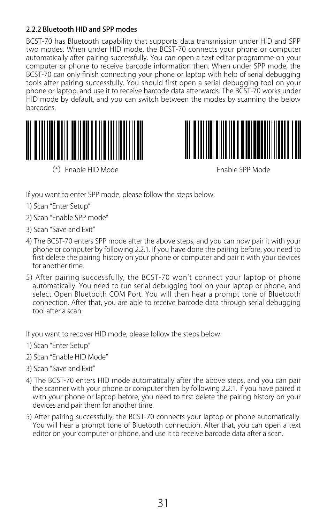#### <span id="page-30-0"></span>2.2.2 Bluetooth HID and SPP modes

BCST-70 has Bluetooth capability that supports data transmission under HID and SPP two modes. When under HID mode, the BCST-70 connects your phone or computer automatically after pairing successfully. You can open a text editor programme on your computer or phone to receive barcode information then. When under SPP mode, the BCST-70 can only finish connecting your phone or laptop with help of serial debugging tools after pairing successfully. You should first open a serial debugging tool on your phone or laptop, and use it to receive barcode data afterwards. The BCST-70 works under HID mode by default, and you can switch between the modes by scanning the below barcodes.



(\*)Enable HID Mode Enable SPP Mode



If you want to enter SPP mode, please follow the steps below:

- 1) Scan "Enter Setup"
- 2) Scan "Enable SPP mode"
- 3) Scan "Save and Exit"
- 4) The BCST-70 enters SPP mode after the above steps, and you can now pair it with your phone or computer by following 2.2.1. If you have done the pairing before, you need to first delete the pairing history on your phone or computer and pair it with your devices for another time.
- 5) After pairing successfully, the BCST-70 won't connect your laptop or phone automatically. You need to run serial debugging tool on your laptop or phone, and select Open Bluetooth COM Port. You will then hear a prompt tone of Bluetooth connection. After that, you are able to receive barcode data through serial debugging tool after a scan.

If you want to recover HID mode, please follow the steps below:

- 1) Scan "Enter Setup"
- 2) Scan "Enable HID Mode"
- 3) Scan "Save and Exit"
- 4) The BCST-70 enters HID mode automatically after the above steps, and you can pair the scanner with your phone or computer then by following 2.2.1. If you have paired it with your phone or laptop before, you need to first delete the pairing history on your devices and pair them for another time.
- 5) After pairing successfully, the BCST-70 connects your laptop or phone automatically. You will hear a prompt tone of Bluetooth connection. After that, you can open a text editor on your computer or phone, and use it to receive barcode data after a scan.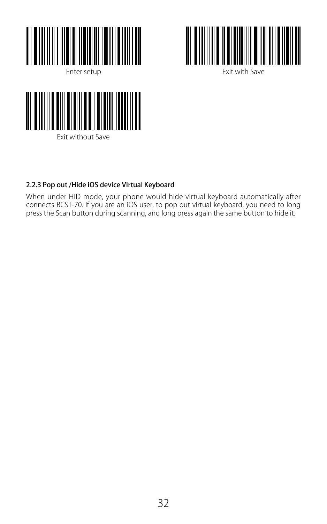<span id="page-31-0"></span>



Enter setup **Exit with Save** 



#### 2.2.3 Pop out /Hide iOS device Virtual Keyboard

When under HID mode, your phone would hide virtual keyboard automatically after connects BCST-70. If you are an iOS user, to pop out virtual keyboard, you need to long press the Scan button during scanning, and long press again the same button to hide it.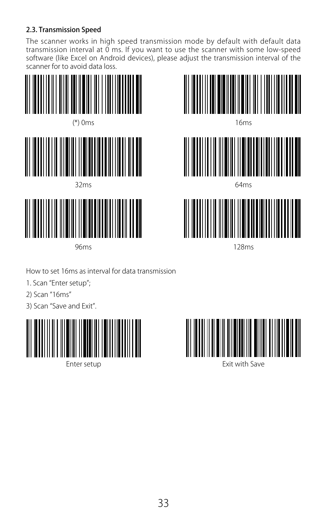#### <span id="page-32-0"></span>2.3. Transmission Speed

The scanner works in high speed transmission mode by default with default data transmission interval at 0 ms. If you want to use the scanner with some low-speed software (like Excel on Android devices), please adjust the transmission interval of the scanner for to avoid data loss.





64ms



128ms

How to set 16ms as interval for data transmission

1. Scan "Enter setup";

2) Scan "16ms"

3) Scan "Save and Exit".



96ms

Enter setup



Exit with Save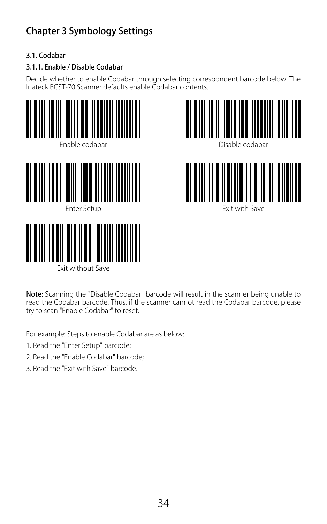## <span id="page-33-0"></span>Chapter 3 Symbology Settings

#### 3.1. Codabar

#### 3.1.1. Enable / Disable Codabar

Decide whether to enable Codabar through selecting correspondent barcode below. The Inateck BCST-70 Scanner defaults enable Codabar contents.











Exit with Save

Note: Scanning the "Disable Codabar" barcode will result in the scanner being unable to read the Codabar barcode. Thus, if the scanner cannot read the Codabar barcode, please try to scan "Enable Codabar" to reset.

For example: Steps to enable Codabar are as below:

- 1. Read the "Enter Setup" barcode;
- 2. Read the "Enable Codabar" barcode;
- 3. Read the "Exit with Save" barcode.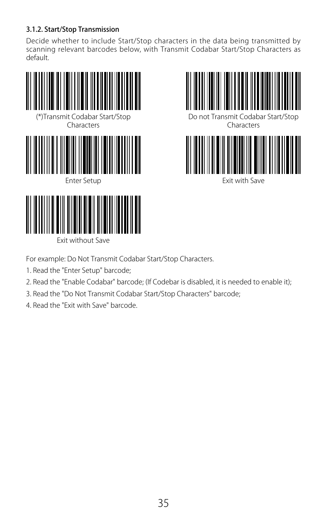#### <span id="page-34-0"></span>3.1.2. Start/Stop Transmission

Decide whether to include Start/Stop characters in the data being transmitted by scanning relevant barcodes below, with Transmit Codabar Start/Stop Characters as default.





Do not Transmit Codabar Start/Stop Characters



For example: Do Not Transmit Codabar Start/Stop Characters.

1. Read the "Enter Setup" barcode;

Exit without Save

- 2. Read the "Enable Codabar" barcode; (If Codebar is disabled, it is needed to enable it);
- 3. Read the "Do Not Transmit Codabar Start/Stop Characters" barcode;
- 4. Read the "Exit with Save" barcode.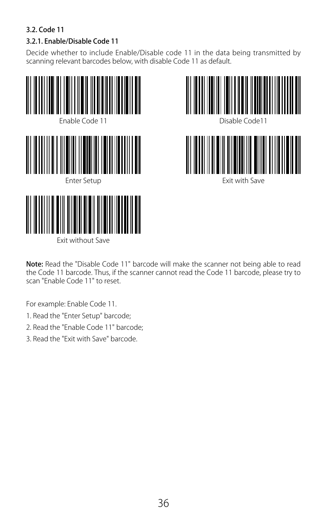#### <span id="page-35-0"></span>3.2. Code 11

#### 3.2.1. Enable/Disable Code 11

Decide whether to include Enable/Disable code 11 in the data being transmitted by scanning relevant barcodes below, with disable Code 11 as default.





Note: Read the "Disable Code 11" barcode will make the scanner not being able to read the Code 11 barcode. Thus, if the scanner cannot read the Code 11 barcode, please try to scan "Enable Code 11" to reset.

For example: Enable Code 11.

- 1. Read the "Enter Setup" barcode;
- 2. Read the "Enable Code 11" barcode;
- 3. Read the "Exit with Save" barcode.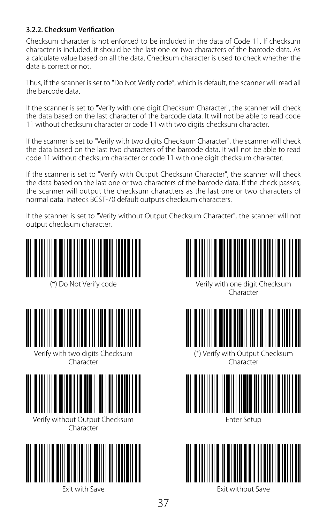#### 3.2.2. Checksum Verification

Checksum character is not enforced to be included in the data of Code 11. If checksum character is included, it should be the last one or two characters of the barcode data. As a calculate value based on all the data, Checksum character is used to check whether the data is correct or not.

Thus, if the scanner is set to "Do Not Verify code", which is default, the scanner will read all the barcode data.

If the scanner is set to "Verify with one digit Checksum Character", the scanner will check the data based on the last character of the barcode data. It will not be able to read code 11 without checksum character or code 11 with two digits checksum character.

If the scanner is set to "Verify with two digits Checksum Character", the scanner will check the data based on the last two characters of the barcode data. It will not be able to read code 11 without checksum character or code 11 with one digit checksum character.

If the scanner is set to "Verify with Output Checksum Character", the scanner will check the data based on the last one or two characters of the barcode data. If the check passes, the scanner will output the checksum characters as the last one or two characters of normal data. Inateck BCST-70 default outputs checksum characters.

If the scanner is set to "Verify without Output Checksum Character", the scanner will not output checksum character.





Verify with one digit Checksum Character



(\*) Verify with Output Checksum Character



Enter Setup



Exit without Save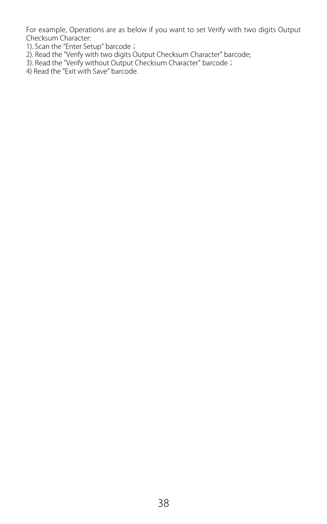For example, Operations are as below if you want to set Verify with two digits Output Checksum Character:

- 1). Scan the "Enter Setup" barcode;
- 2). Read the "Verify with two digits Output Checksum Character" barcode;
- 3). Read the "Verify without Output Checksum Character" barcode; 4) Read the "Exit with Save" barcode.
-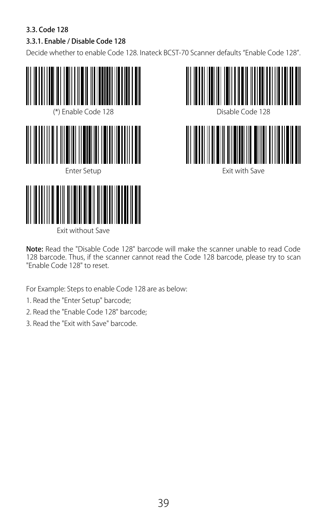## 3.3. Code 128

# 3.3.1. Enable / Disable Code 128

Decide whether to enable Code 128. Inateck BCST-70 Scanner defaults "Enable Code 128".







Note: Read the "Disable Code 128" barcode will make the scanner unable to read Code 128 barcode. Thus, if the scanner cannot read the Code 128 barcode, please try to scan "Enable Code 128" to reset.

For Example: Steps to enable Code 128 are as below:

1. Read the "Enter Setup" barcode;

- 2. Read the "Enable Code 128" barcode;
- 3. Read the "Exit with Save" barcode.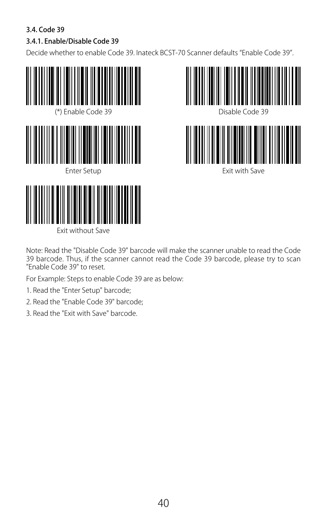## 3.4. Code 39

# 3.4.1. Enable/Disable Code 39

Decide whether to enable Code 39. Inateck BCST-70 Scanner defaults "Enable Code 39".







Note: Read the "Disable Code 39" barcode will make the scanner unable to read the Code 39 barcode. Thus, if the scanner cannot read the Code 39 barcode, please try to scan "Enable Code 39" to reset.

For Example: Steps to enable Code 39 are as below:

- 1. Read the "Enter Setup" barcode;
- 2. Read the "Enable Code 39" barcode;

Exit without Save

3. Read the "Exit with Save" barcode.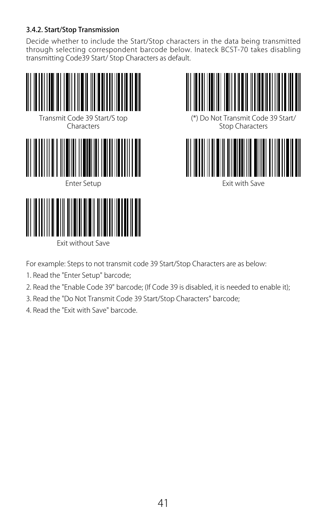#### 3.4.2. Start/Stop Transmission

Decide whether to include the Start/Stop characters in the data being transmitted through selecting correspondent barcode below. Inateck BCST-70 takes disabling transmitting Code39 Start/ Stop Characters as default.





Exit with Save

For example: Steps to not transmit code 39 Start/Stop Characters are as below:

1. Read the "Enter Setup" barcode;

- 2. Read the "Enable Code 39" barcode; (If Code 39 is disabled, it is needed to enable it);
- 3. Read the "Do Not Transmit Code 39 Start/Stop Characters" barcode;
- 4. Read the "Exit with Save" barcode.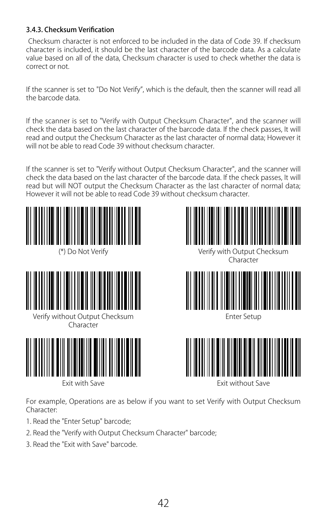#### 3.4.3. Checksum Verification

 Checksum character is not enforced to be included in the data of Code 39. If checksum character is included, it should be the last character of the barcode data. As a calculate value based on all of the data, Checksum character is used to check whether the data is correct or not.

If the scanner is set to "Do Not Verify", which is the default, then the scanner will read all the barcode data.

If the scanner is set to "Verify with Output Checksum Character", and the scanner will check the data based on the last character of the barcode data. If the check passes, It will read and output the Checksum Character as the last character of normal data; However it will not be able to read Code 39 without checksum character.

If the scanner is set to "Verify without Output Checksum Character", and the scanner will check the data based on the last character of the barcode data. If the check passes, It will read but will NOT output the Checksum Character as the last character of normal data: However it will not be able to read Code 39 without checksum character.





Verify without Output Checksum Enter Setup **Character** 





**Character** 





Exit with Save Exit without Save

For example, Operations are as below if you want to set Verify with Output Checksum Character:

- 1. Read the "Enter Setup" barcode;
- 2. Read the "Verify with Output Checksum Character" barcode;
- 3. Read the "Exit with Save" barcode.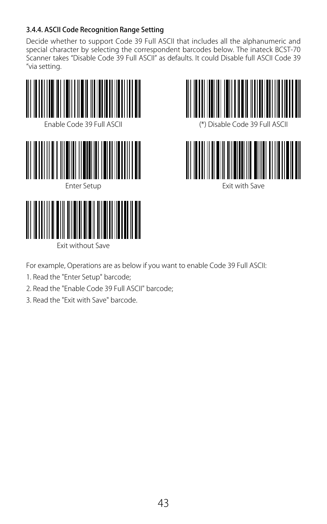### 3.4.4. ASCII Code Recognition Range Setting

Decide whether to support Code 39 Full ASCII that includes all the alphanumeric and special character by selecting the correspondent barcodes below. The inateck BCST-70 Scanner takes "Disable Code 39 Full ASCII" as defaults. It could Disable full ASCII Code 39 "via setting.





Exit with Save

Exit without Save

For example, Operations are as below if you want to enable Code 39 Full ASCII:

- 1. Read the "Enter Setup" barcode;
- 2. Read the "Enable Code 39 Full ASCII" barcode;
- 3. Read the "Exit with Save" barcode.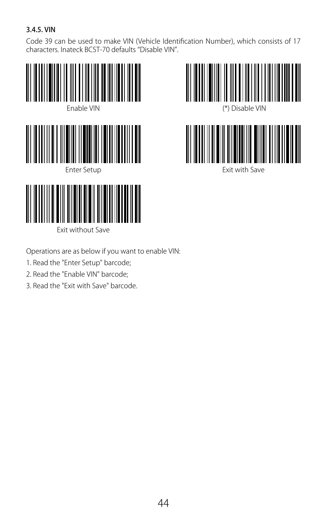### 3.4.5. VIN

Code 39 can be used to make VIN (Vehicle Identification Number), which consists of 17 characters. Inateck BCST-70 defaults "Disable VIN".







Exit with Save

Operations are as below if you want to enable VIN:

1. Read the "Enter Setup" barcode;

- 2. Read the "Enable VIN" barcode;
- 3. Read the "Exit with Save" barcode.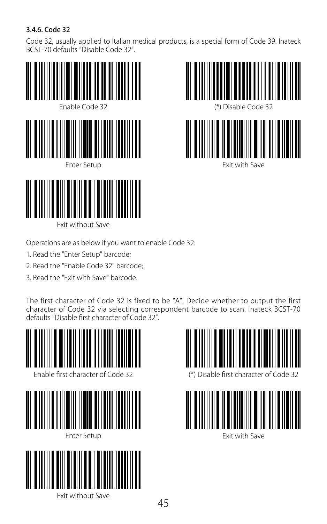## 3.4.6. Code 32

Code 32, usually applied to Italian medical products, is a special form of Code 39. Inateck BCST-70 defaults "Disable Code 32".





Exit with Save

Operations are as below if you want to enable Code 32:

1. Read the "Enter Setup" barcode;

Exit without Save

- 2. Read the "Enable Code 32" barcode;
- 3. Read the "Exit with Save" barcode.

The first character of Code 32 is fixed to be "A". Decide whether to output the first character of Code 32 via selecting correspondent barcode to scan. Inateck BCST-70 defaults "Disable first character of Code 32".

45





(\*) Disable first character of Code 32

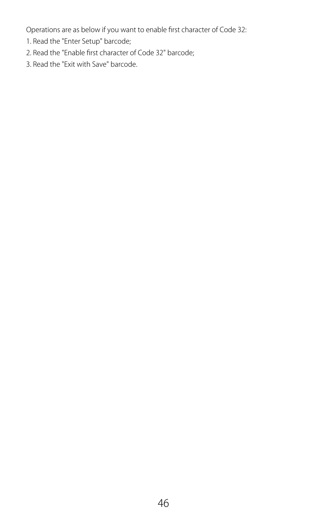Operations are as below if you want to enable first character of Code 32:

- 1. Read the "Enter Setup" barcode;
- 2. Read the "Enable first character of Code 32" barcode;
- 3. Read the "Exit with Save" barcode.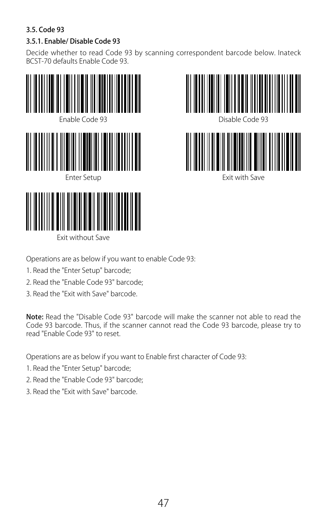### 3.5. Code 93

## 3.5.1. Enable/ Disable Code 93

Decide whether to read Code 93 by scanning correspondent barcode below. Inateck BCST-70 defaults Enable Code 93.





Operations are as below if you want to enable Code 93:

- 1. Read the "Enter Setup" barcode;
- 2. Read the "Enable Code 93" barcode;

Exit without Save

3. Read the "Exit with Save" barcode.

Note: Read the "Disable Code 93" barcode will make the scanner not able to read the Code 93 barcode. Thus, if the scanner cannot read the Code 93 barcode, please try to read "Enable Code 93" to reset.

Operations are as below if you want to Enable first character of Code 93:

- 1. Read the "Enter Setup" barcode;
- 2. Read the "Enable Code 93" barcode;
- 3. Read the "Exit with Save" barcode.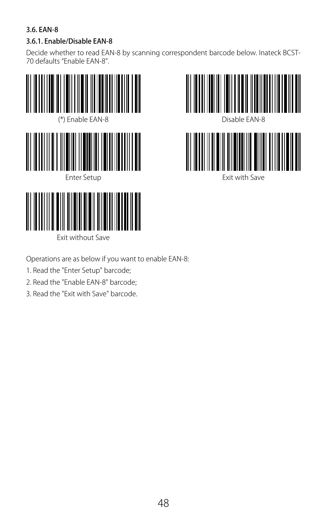### 3.6. EAN-8

#### 3.6.1. Enable/Disable EAN-8

Decide whether to read EAN-8 by scanning correspondent barcode below. Inateck BCST-70 defaults "Enable EAN-8".





- Operations are as below if you want to enable EAN-8:
- 1. Read the "Enter Setup" barcode;
- 2. Read the "Enable EAN-8" barcode;

Exit without Save

3. Read the "Exit with Save" barcode.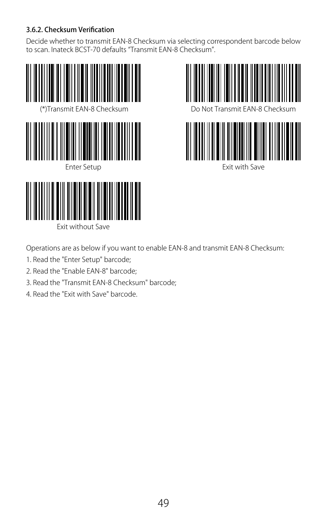### 3.6.2. Checksum Verification

Decide whether to transmit EAN-8 Checksum via selecting correspondent barcode below to scan. Inateck BCST-70 defaults "Transmit EAN-8 Checksum".







Exit with Save



Operations are as below if you want to enable EAN-8 and transmit EAN-8 Checksum:

- 1. Read the "Enter Setup" barcode;
- 2. Read the "Enable EAN-8" barcode;
- 3. Read the "Transmit EAN-8 Checksum" barcode;
- 4. Read the "Exit with Save" barcode.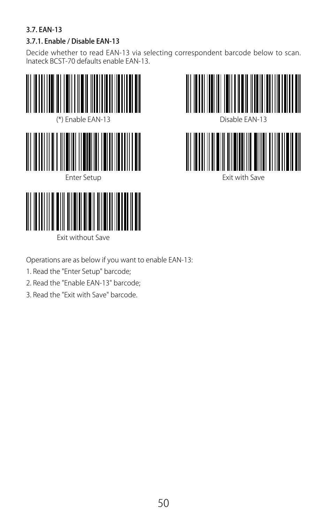### 3.7. EAN-13

## 3.7.1. Enable / Disable EAN-13

Decide whether to read EAN-13 via selecting correspondent barcode below to scan. Inateck BCST-70 defaults enable EAN-13.





- Operations are as below if you want to enable EAN-13:
- 1. Read the "Enter Setup" barcode;
- 2. Read the "Enable EAN-13" barcode;

Exit without Save

3. Read the "Exit with Save" barcode.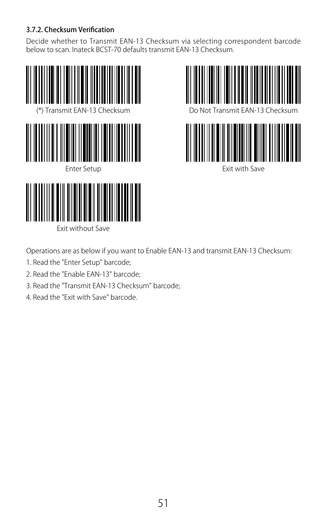### 3.7.2. Checksum Verification

Decide whether to Transmit EAN-13 Checksum via selecting correspondent barcode below to scan. Inateck BCST-70 defaults transmit EAN-13 Checksum.







Exit with Save

Operations are as below if you want to Enable EAN-13 and transmit EAN-13 Checksum:

- 1. Read the "Enter Setup" barcode;
- 2. Read the "Enable EAN-13" barcode;

- 3. Read the "Transmit EAN-13 Checksum" barcode;
- 4. Read the "Exit with Save" barcode.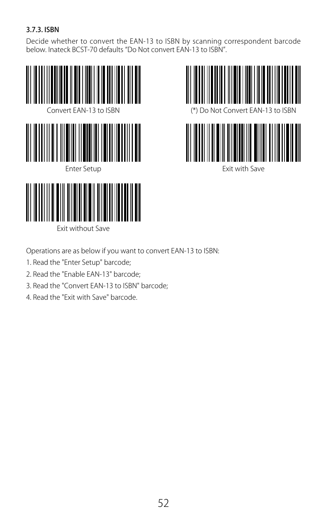### 3.7.3. ISBN

Decide whether to convert the EAN-13 to ISBN by scanning correspondent barcode below. Inateck BCST-70 defaults "Do Not convert EAN-13 to ISBN".





Exit with Save

Operations are as below if you want to convert EAN-13 to ISBN:

1. Read the "Enter Setup" barcode;

- 2. Read the "Enable EAN-13" barcode;
- 3. Read the "Convert EAN-13 to ISBN" barcode;
- 4. Read the "Exit with Save" barcode.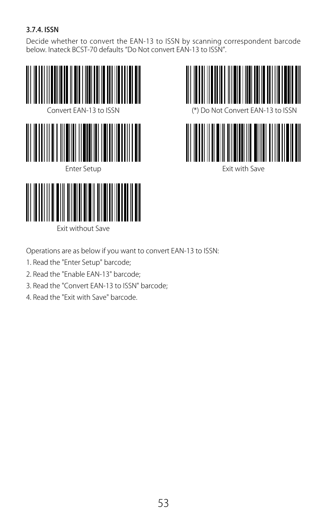### 3.7.4. ISSN

Decide whether to convert the EAN-13 to ISSN by scanning correspondent barcode below. Inateck BCST-70 defaults "Do Not convert EAN-13 to ISSN".





Exit with Save

Operations are as below if you want to convert EAN-13 to ISSN:

1. Read the "Enter Setup" barcode;

- 2. Read the "Enable EAN-13" barcode;
- 3. Read the "Convert EAN-13 to ISSN" barcode;
- 4. Read the "Exit with Save" barcode.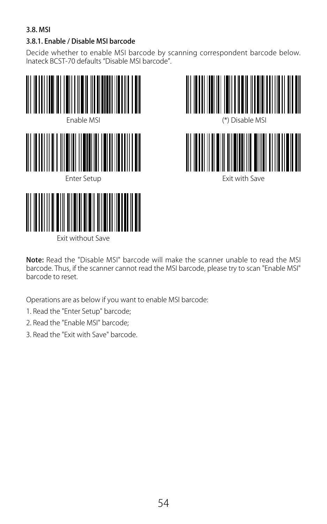### 3.8. MSI

#### 3.8.1. Enable / Disable MSI barcode

Decide whether to enable MSI barcode by scanning correspondent barcode below. Inateck BCST-70 defaults "Disable MSI barcode".





Note: Read the "Disable MSI" barcode will make the scanner unable to read the MSI barcode. Thus, if the scanner cannot read the MSI barcode, please try to scan "Enable MSI" barcode to reset.

Operations are as below if you want to enable MSI barcode:

- 1. Read the "Enter Setup" barcode;
- 2. Read the "Enable MSI" barcode;
- 3. Read the "Exit with Save" barcode.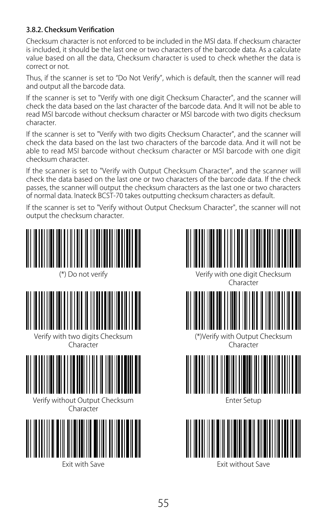#### 3.8.2. Checksum Verification

Checksum character is not enforced to be included in the MSI data. If checksum character is included, it should be the last one or two characters of the barcode data. As a calculate value based on all the data, Checksum character is used to check whether the data is correct or not.

Thus, if the scanner is set to "Do Not Verify", which is default, then the scanner will read and output all the barcode data.

If the scanner is set to "Verify with one digit Checksum Character", and the scanner will check the data based on the last character of the barcode data. And It will not be able to read MSI barcode without checksum character or MSI barcode with two digits checksum character.

If the scanner is set to "Verify with two digits Checksum Character", and the scanner will check the data based on the last two characters of the barcode data. And it will not be able to read MSI barcode without checksum character or MSI barcode with one digit checksum character.

If the scanner is set to "Verify with Output Checksum Character", and the scanner will check the data based on the last one or two characters of the barcode data. If the check passes, the scanner will output the checksum characters as the last one or two characters of normal data. Inateck BCST-70 takes outputting checksum characters as default.

If the scanner is set to "Verify without Output Checksum Character", the scanner will not output the checksum character.











(\*)Verify with Output Checksum **Character** 



Enter Setup

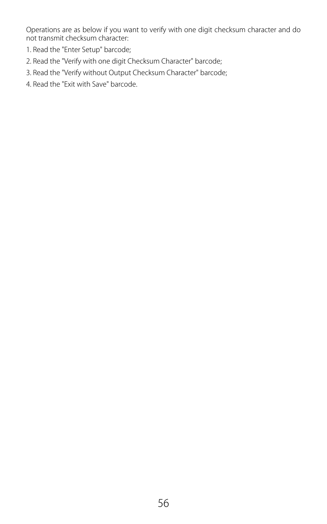Operations are as below if you want to verify with one digit checksum character and do not transmit checksum character:

- 1. Read the "Enter Setup" barcode;
- 2. Read the "Verify with one digit Checksum Character" barcode;
- 3. Read the "Verify without Output Checksum Character" barcode;
- 4. Read the "Exit with Save" barcode.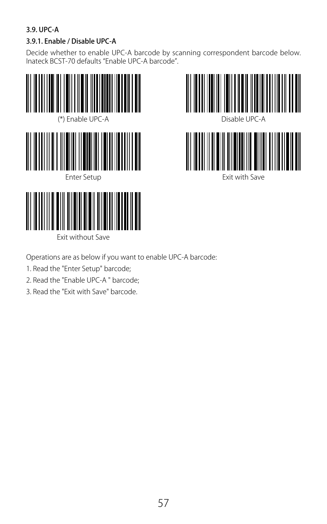### 3.9. UPC-A

## 3.9.1. Enable / Disable UPC-A

Decide whether to enable UPC-A barcode by scanning correspondent barcode below. Inateck BCST-70 defaults "Enable UPC-A barcode".





Operations are as below if you want to enable UPC-A barcode:

- 1. Read the "Enter Setup" barcode;
- 2. Read the "Enable UPC-A " barcode;

Exit without Save

3. Read the "Exit with Save" barcode.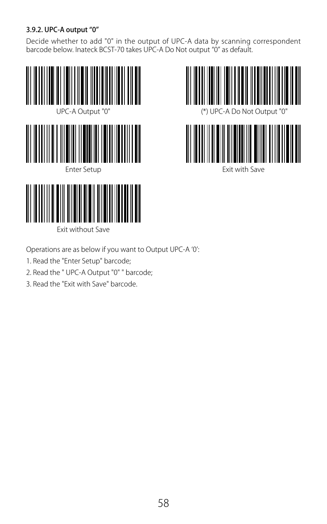### 3.9.2. UPC-A output "0"

Decide whether to add "0" in the output of UPC-A data by scanning correspondent barcode below. Inateck BCST-70 takes UPC-A Do Not output "0" as default.







Exit with Save

Operations are as below if you want to Output UPC-A '0':

1. Read the "Enter Setup" barcode;

- 2. Read the " UPC-A Output "0" " barcode;
- 3. Read the "Exit with Save" barcode.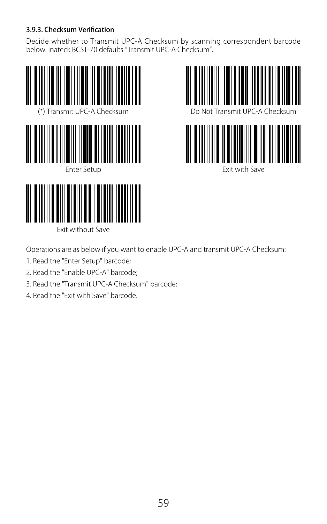#### 3.9.3. Checksum Verification

Decide whether to Transmit UPC-A Checksum by scanning correspondent barcode<br>below. Inateck BCST-70 defaults "Transmit UPC-A Checksum".







Exit with Save

Operations are as below if you want to enable UPC-A and transmit UPC-A Checksum:

- 1. Read the "Enter Setup" barcode;
- 2. Read the "Enable UPC-A" barcode;

- 3. Read the "Transmit UPC-A Checksum" barcode;
- 4. Read the "Exit with Save" barcode.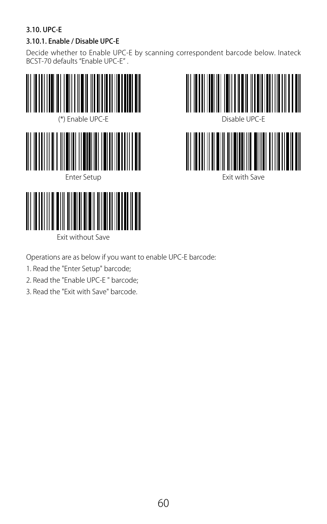### 3.10. UPC-E

### 3.10.1. Enable / Disable UPC-E

Decide whether to Enable UPC-E by scanning correspondent barcode below. Inateck BCST-70 defaults "Enable UPC-E" .





Operations are as below if you want to enable UPC-E barcode:

- 1. Read the "Enter Setup" barcode;
- 2. Read the "Enable UPC-E " barcode;

Exit without Save

3. Read the "Exit with Save" barcode.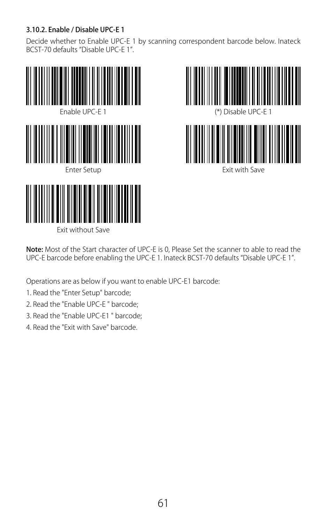### 3.10.2. Enable / Disable UPC-E 1

Decide whether to Enable UPC-E 1 by scanning correspondent barcode below. Inateck BCST-70 defaults "Disable UPC-E 1".





Exit with Save

Note: Most of the Start character of UPC-E is 0, Please Set the scanner to able to read the UPC-E barcode before enabling the UPC-E 1. Inateck BCST-70 defaults "Disable UPC-E 1".

Operations are as below if you want to enable UPC-E1 barcode:

- 1. Read the "Enter Setup" barcode;
- 2. Read the "Enable UPC-E " barcode;

- 3. Read the "Enable UPC-E1 " barcode;
- 4. Read the "Exit with Save" barcode.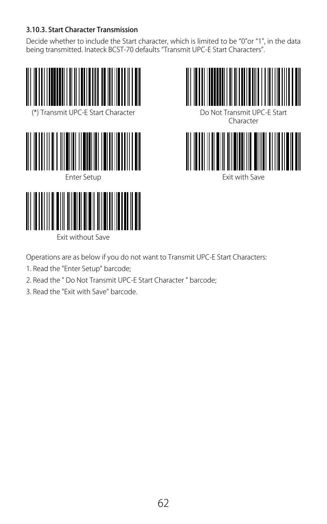#### 3.10.3. Start Character Transmission

Decide whether to include the Start character, which is limited to be "0"or "1", in the data being transmitted. Inateck BCST-70 defaults "Transmit UPC-E Start Characters".





Exit with Save

Operations are as below if you do not want to Transmit UPC-E Start Characters:

- 1. Read the "Enter Setup" barcode;
- 2. Read the " Do Not Transmit UPC-E Start Character " barcode;
- 3. Read the "Exit with Save" barcode.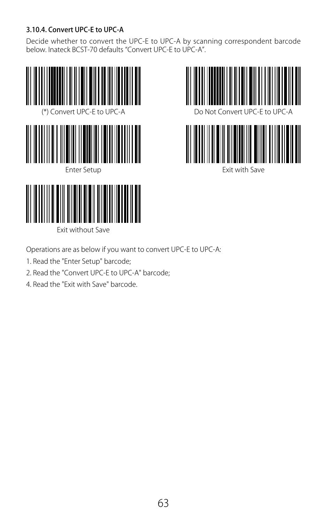### 3.10.4. Convert UPC-E to UPC-A

Decide whether to convert the UPC-E to UPC-A by scanning correspondent barcode below. Inateck BCST-70 defaults "Convert UPC-E to UPC-A".







Operations are as below if you want to convert UPC-E to UPC-A:

1. Read the "Enter Setup" barcode;

- 2. Read the "Convert UPC-E to UPC-A" barcode;
- 4. Read the "Exit with Save" barcode.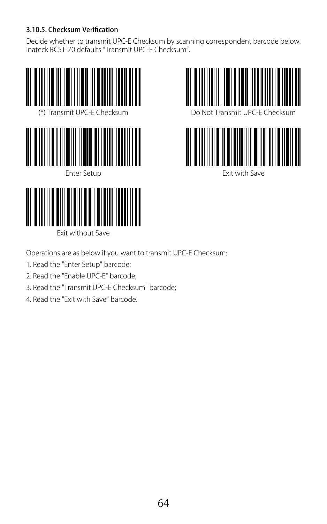### 3.10.5. Checksum Verification

Decide whether to transmit UPC-E Checksum by scanning correspondent barcode below. Inateck BCST-70 defaults "Transmit UPC-E Checksum".







Exit with Save

Operations are as below if you want to transmit UPC-E Checksum:

- 1. Read the "Enter Setup" barcode;
- 2. Read the "Enable UPC-E" barcode;

- 3. Read the "Transmit UPC-E Checksum" barcode;
- 4. Read the "Exit with Save" barcode.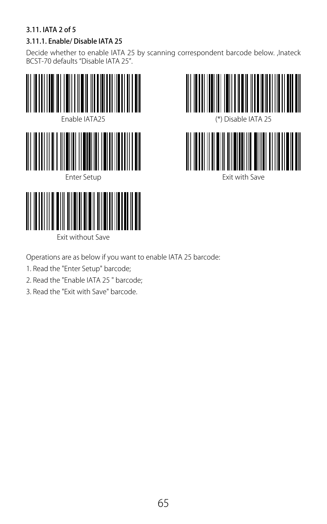### 3.11. IATA 2 of 5

# 3.11.1. Enable/ Disable IATA 25

Decide whether to enable IATA 25 by scanning correspondent barcode below. ,Inateck BCST-70 defaults "Disable IATA 25".





Operations are as below if you want to enable IATA 25 barcode:

1. Read the "Enter Setup" barcode;

- 2. Read the "Enable IATA 25 " barcode;
- 3. Read the "Exit with Save" barcode.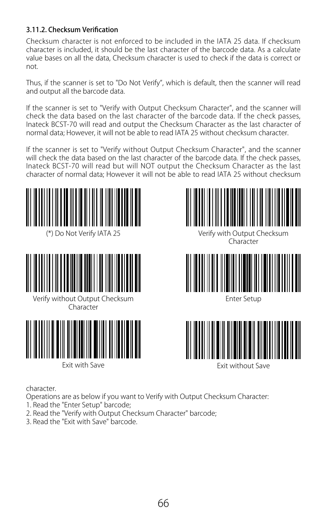#### 3.11.2. Checksum Verification

Checksum character is not enforced to be included in the IATA 25 data. If checksum character is included, it should be the last character of the barcode data. As a calculate value bases on all the data, Checksum character is used to check if the data is correct or not.

Thus, if the scanner is set to "Do Not Verify", which is default, then the scanner will read and output all the barcode data.

If the scanner is set to "Verify with Output Checksum Character", and the scanner will check the data based on the last character of the barcode data. If the check passes, Inateck BCST-70 will read and output the Checksum Character as the last character of normal data; However, it will not be able to read IATA 25 without checksum character.

If the scanner is set to "Verify without Output Checksum Character", and the scanner will check the data based on the last character of the barcode data. If the check passes, Inateck BCST-70 will read but will NOT output the Checksum Character as the last character of normal data; However it will not be able to read IATA 25 without checksum









Exit with Save **Exit without Save** 



(\*) Do Not Verify IATA 25 Verify with Output Checksum Character



Enter Setup



character.

Operations are as below if you want to Verify with Output Checksum Character:

- 1. Read the "Enter Setup" barcode;
- 2. Read the "Verify with Output Checksum Character" barcode;
- 3. Read the "Exit with Save" barcode.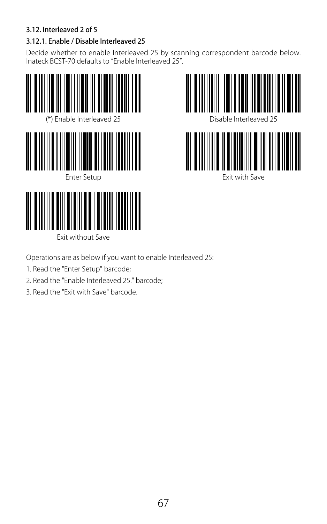### 3.12. Interleaved 2 of 5

# 3.12.1. Enable / Disable Interleaved 25

Decide whether to enable Interleaved 25 by scanning correspondent barcode below. Inateck BCST-70 defaults to "Enable Interleaved 25".





Operations are as below if you want to enable Interleaved 25:

1. Read the "Enter Setup" barcode;

- 2. Read the "Enable Interleaved 25." barcode;
- 3. Read the "Exit with Save" barcode.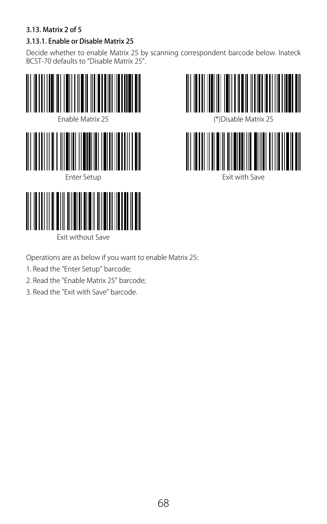### 3.13. Matrix 2 of 5

# 3.13.1. Enable or Disable Matrix 25

Decide whether to enable Matrix 25 by scanning correspondent barcode below. Inateck BCST-70 defaults to "Disable Matrix 25".





Operations are as below if you want to enable Matrix 25:

1. Read the "Enter Setup" barcode;

- 2. Read the "Enable Matrix 25" barcode;
- 3. Read the "Exit with Save" barcode.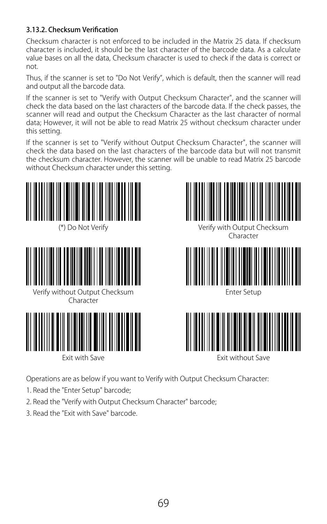#### 3.13.2. Checksum Verification

Checksum character is not enforced to be included in the Matrix 25 data. If checksum character is included, it should be the last character of the barcode data. As a calculate value bases on all the data, Checksum character is used to check if the data is correct or not.

Thus, if the scanner is set to "Do Not Verify", which is default, then the scanner will read and output all the barcode data.

If the scanner is set to "Verify with Output Checksum Character", and the scanner will check the data based on the last characters of the barcode data. If the check passes, the scanner will read and output the Checksum Character as the last character of normal data; However, it will not be able to read Matrix 25 without checksum character under this setting.

If the scanner is set to "Verify without Output Checksum Character", the scanner will check the data based on the last characters of the barcode data but will not transmit the checksum character. However, the scanner will be unable to read Matrix 25 barcode without Checksum character under this setting.





Verify without Output Checksum Character





(\*) Do Not Verify Verify With Output Checksum Character



Enter Setup



Operations are as below if you want to Verify with Output Checksum Character:

- 1. Read the "Enter Setup" barcode;
- 2. Read the "Verify with Output Checksum Character" barcode;
- 3. Read the "Exit with Save" barcode.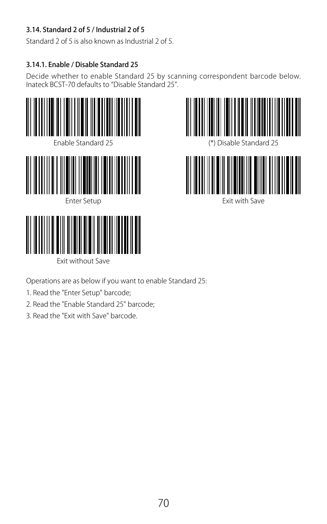### 3.14. Standard 2 of 5 / Industrial 2 of 5

Standard 2 of 5 is also known as Industrial 2 of 5.

### 3.14.1. Enable / Disable Standard 25

Decide whether to enable Standard 25 by scanning correspondent barcode below. Inateck BCST-70 defaults to "Disable Standard 25".







vit with Save



Operations are as below if you want to enable Standard 25:

- 1. Read the "Enter Setup" barcode;
- 2. Read the "Enable Standard 25" barcode;
- 3. Read the "Exit with Save" barcode.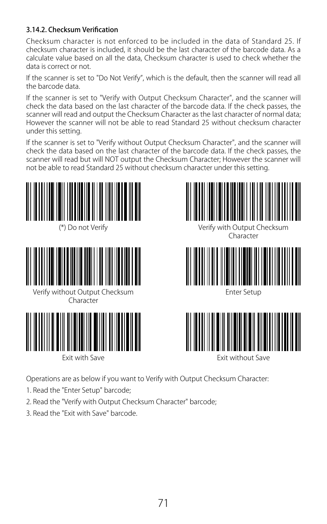#### 3.14.2. Checksum Verification

Checksum character is not enforced to be included in the data of Standard 25. If checksum character is included, it should be the last character of the barcode data. As a calculate value based on all the data, Checksum character is used to check whether the data is correct or not.

If the scanner is set to "Do Not Verify", which is the default, then the scanner will read all the barcode data.

If the scanner is set to "Verify with Output Checksum Character", and the scanner will check the data based on the last character of the barcode data. If the check passes, the scanner will read and output the Checksum Character as the last character of normal data; However the scanner will not be able to read Standard 25 without checksum character under this setting.

If the scanner is set to "Verify without Output Checksum Character", and the scanner will check the data based on the last character of the barcode data. If the check passes, the scanner will read but will NOT output the Checksum Character; However the scanner will not be able to read Standard 25 without checksum character under this setting.





Verify without Output Checksum Character







(\*) Do not Verify Verify With Output Checksum Character



Enter Setup



Operations are as below if you want to Verify with Output Checksum Character:

- 1. Read the "Enter Setup" barcode;
- 2. Read the "Verify with Output Checksum Character" barcode;
- 3. Read the "Exit with Save" barcode.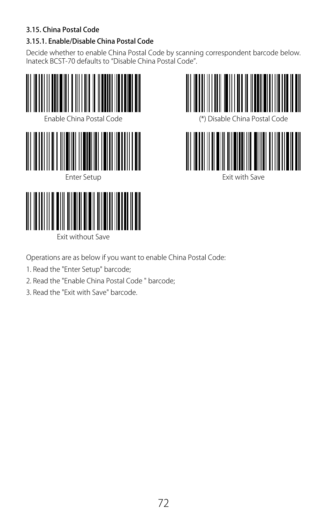### 3.15. China Postal Code

# 3.15.1. Enable/Disable China Postal Code

Decide whether to enable China Postal Code by scanning correspondent barcode below. Inateck BCST-70 defaults to "Disable China Postal Code".





Exit without Save

Operations are as below if you want to enable China Postal Code:

- 1. Read the "Enter Setup" barcode;
- 2. Read the "Enable China Postal Code " barcode;
- 3. Read the "Exit with Save" barcode.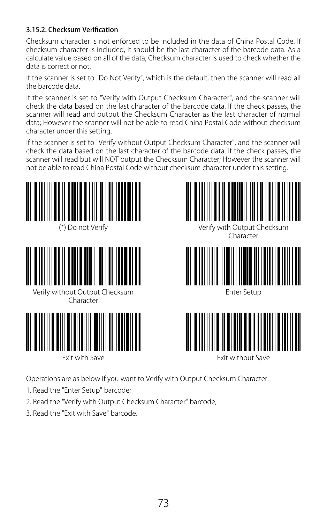#### 3.15.2. Checksum Verification

Checksum character is not enforced to be included in the data of China Postal Code. If checksum character is included, it should be the last character of the barcode data. As a calculate value based on all of the data, Checksum character is used to check whether the data is correct or not.

If the scanner is set to "Do Not Verify", which is the default, then the scanner will read all the barcode data.

If the scanner is set to "Verify with Output Checksum Character", and the scanner will check the data based on the last character of the barcode data. If the check passes, the scanner will read and output the Checksum Character as the last character of normal data; However the scanner will not be able to read China Postal Code without checksum character under this setting.

If the scanner is set to "Verify without Output Checksum Character", and the scanner will check the data based on the last character of the barcode data. If the check passes, the scanner will read but will NOT output the Checksum Character; However the scanner will not be able to read China Postal Code without checksum character under this setting.





Verify without Output Checksum Character





(\*) Do not Verify Verify With Output Checksum Character



Enter Setup



Operations are as below if you want to Verify with Output Checksum Character:

- 1. Read the "Enter Setup" barcode;
- 2. Read the "Verify with Output Checksum Character" barcode;
- 3. Read the "Exit with Save" barcode.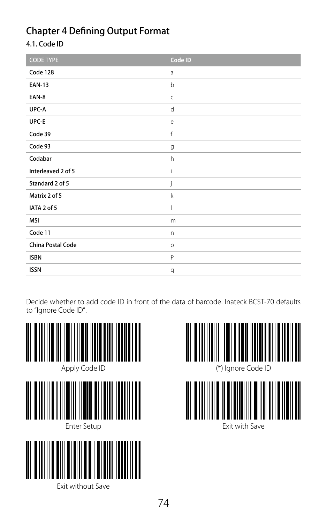# Chapter 4 Defining Output Format

## 4.1. Code ID

| <b>CODE TYPE</b>   | Code ID      |
|--------------------|--------------|
| Code 128           | a            |
| <b>EAN-13</b>      | $\mathsf b$  |
| EAN-8              | $\mathsf{C}$ |
| UPC-A              | d            |
| UPC-E              | e            |
| Code 39            | f            |
| Code 93            | g            |
| Codabar            | h            |
| Interleaved 2 of 5 | í            |
| Standard 2 of 5    | j            |
| Matrix 2 of 5      | $\mathsf k$  |
| IATA 2 of 5        | I            |
| MSI                | m            |
| Code 11            | n            |
| China Postal Code  | $\circ$      |
| <b>ISBN</b>        | P            |
| <b>ISSN</b>        | q            |

Decide whether to add code ID in front of the data of barcode. Inateck BCST-70 defaults to "Ignore Code ID".





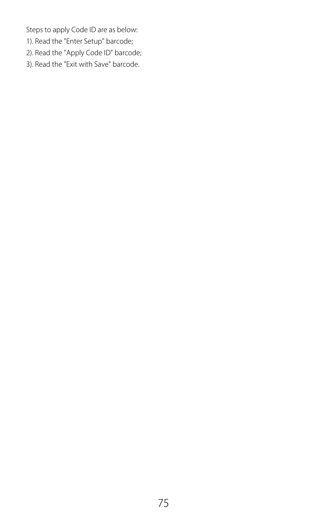Steps to apply Code ID are as below:

- 1). Read the "Enter Setup" barcode;
- 2). Read the "Apply Code ID" barcode;
- 3). Read the "Exit with Save" barcode.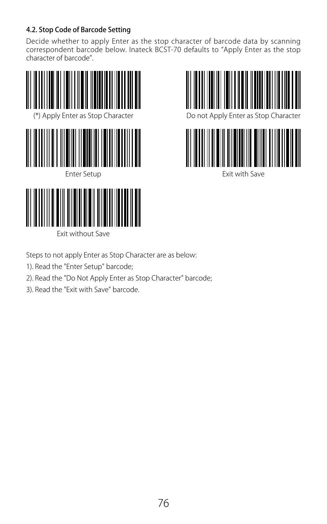## 4.2. Stop Code of Barcode Setting

Decide whether to apply Enter as the stop character of barcode data by scanning correspondent barcode below. Inateck BCST-70 defaults to "Apply Enter as the stop character of barcode".







Exit with Save

Steps to not apply Enter as Stop Character are as below:

1). Read the "Enter Setup" barcode;

- 2). Read the "Do Not Apply Enter as Stop Character" barcode;
- 3). Read the "Exit with Save" barcode.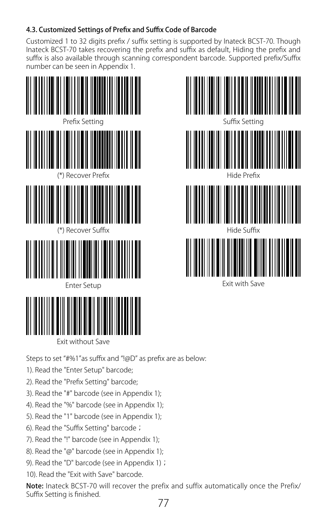## 4.3. Customized Settings of Prefix and Suffix Code of Barcode

Customized 1 to 32 digits prefix / suffix setting is supported by Inateck BCST-70. Though Inateck BCST-70 takes recovering the prefix and suffix as default, Hiding the prefix and suffix is also available through scanning correspondent barcode. Supported prefix/Suffix number can be seen in Appendix 1.



Exit without Save

Steps to set "#%1"as suffix and "!@D" as prefix are as below:

- 1). Read the "Enter Setup" barcode;
- 2). Read the "Prefix Setting" barcode;
- 3). Read the "#" barcode (see in Appendix 1);
- 4). Read the "%" barcode (see in Appendix 1);
- 5). Read the "1" barcode (see in Appendix 1);
- 6). Read the "Suffix Setting" barcode;
- 7). Read the "!" barcode (see in Appendix 1);
- 8). Read the "@" barcode (see in Appendix 1);
- 9). Read the "D" barcode (see in Appendix 1);

10). Read the "Exit with Save" barcode.

77 Note: Inateck BCST-70 will recover the prefix and suffix automatically once the Prefix/ Suffix Setting is finished.

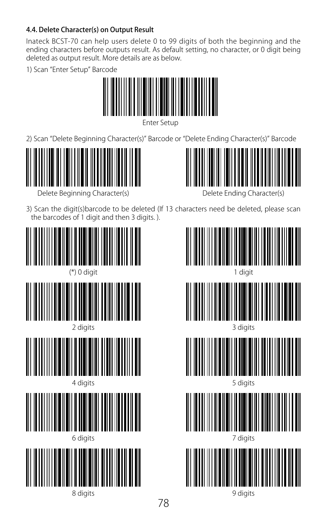## 4.4. Delete Character(s) on Output Result

Inateck BCST-70 can help users delete 0 to 99 digits of both the beginning and the<br>ending characters before outputs result. As default setting, no character, or 0 digit being deleted as output result. More details are as below.

1) Scan "Enter Setup" Barcode



Enter Setup

2) Scan "Delete Beginning Character(s)" Barcode or "Delete Ending Character(s)" Barcode



Delete Beginning Character(s)



Delete Ending Character(s)

3) Scan the digit(s)barcode to be deleted (If 13 characters need be deleted, please scan the barcodes of 1 digit and then 3 digits. ).



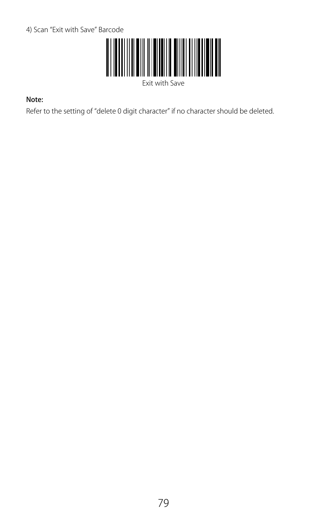

Exit with Save

#### Note:

Refer to the setting of "delete 0 digit character" if no character should be deleted.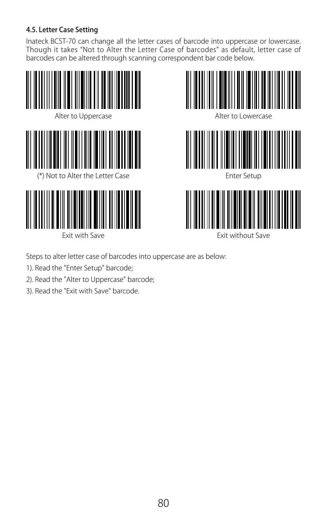## 4.5. Letter Case Setting

Inateck BCST-70 can change all the letter cases of barcode into uppercase or lowercase.<br>Though it takes "Not to Alter the Letter Case of barcodes" as default, letter case of barcodes can be altered through scanning correspondent bar code below.







Enter Setup



Exit with Save **Exit without Save** 

Steps to alter letter case of barcodes into uppercase are as below:

- 1). Read the "Enter Setup" barcode;
- 2). Read the "Alter to Uppercase" barcode;
- 3). Read the "Exit with Save" barcode.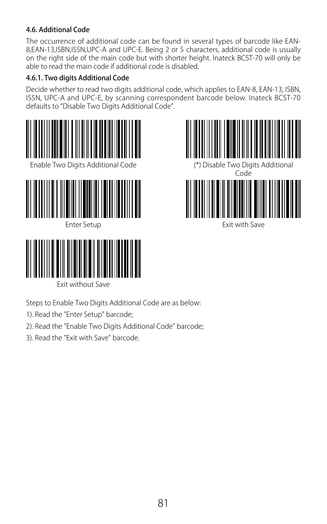#### 4.6. Additional Code

The occurrence of additional code can be found in several types of barcode like EAN-8,EAN-13,ISBN,ISSN,UPC-A and UPC-E. Being 2 or 5 characters, additional code is usually on the right side of the main code but with shorter height. Inateck BCST-70 will only be able to read the main code if additional code is disabled.

### 4.6.1. Two digits Additional Code

Decide whether to read two digits additional code, which applies to EAN-8, EAN-13, ISBN, ISSN, UPC-A and UPC-E, by scanning correspondent barcode below. Inateck BCST-70 defaults to "Disable Two Digits Additional Code".





Exit without Save

Steps to Enable Two Digits Additional Code are as below:

- 1). Read the "Enter Setup" barcode;
- 2). Read the "Enable Two Digits Additional Code" barcode;
- 3). Read the "Exit with Save" barcode.

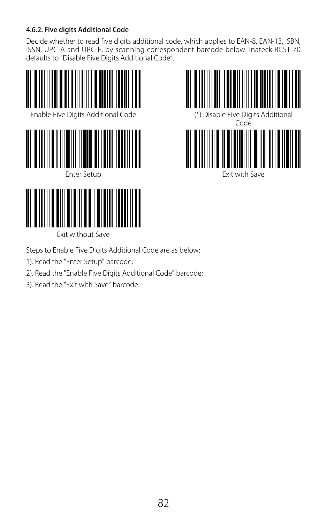## 4.6.2. Five digits Additional Code

Decide whether to read five digits additional code, which applies to EAN-8, EAN-13, ISBN, ISSN, UPC-A and UPC-E, by scanning correspondent barcode below. Inateck BCST-70 defaults to "Disable Five Digits Additional Code".





Exit without Save

Steps to Enable Five Digits Additional Code are as below:

- 1). Read the "Enter Setup" barcode;
- 2). Read the "Enable Five Digits Additional Code" barcode;
- 3). Read the "Exit with Save" barcode.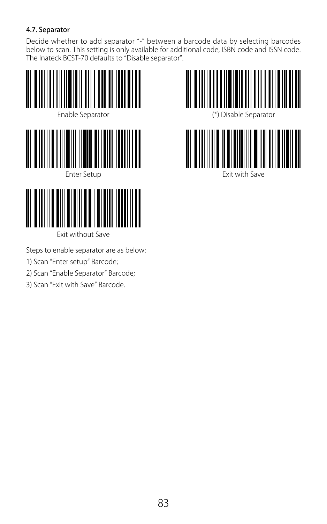### 4.7. Separator

Decide whether to add separator "-" between a barcode data by selecting barcodes below to scan. This setting is only available for additional code, ISBN code and ISSN code. The Inateck BCST-70 defaults to "Disable separator".



Exit without Save

Steps to enable separator are as below:

- 1) Scan "Enter setup" Barcode;
- 2) Scan "Enable Separator" Barcode;
- 3) Scan "Exit with Save" Barcode.

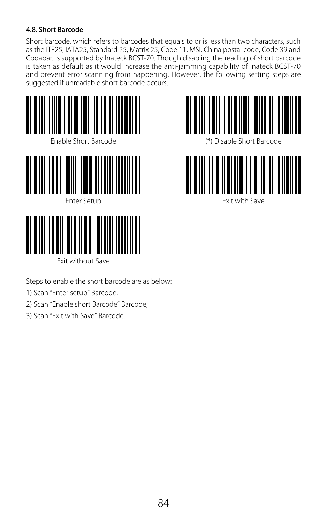#### 4.8. Short Barcode

Short barcode, which refers to barcodes that equals to or is less than two characters, such as the ITF25, IATA25, Standard 25, Matrix 25, Code 11, MSI, China postal code, Code 39 and Codabar, is supported by Inateck BCST-70. Though disabling the reading of short barcode is taken as default as it would increase the anti-jamming capability of Inateck BCST-70 and prevent error scanning from happening. However, the following setting steps are suggested if unreadable short barcode occurs.





Steps to enable the short barcode are as below:

- 1) Scan "Enter setup" Barcode;
- 2) Scan "Enable short Barcode" Barcode;
- 3) Scan "Exit with Save" Barcode.





vit with Save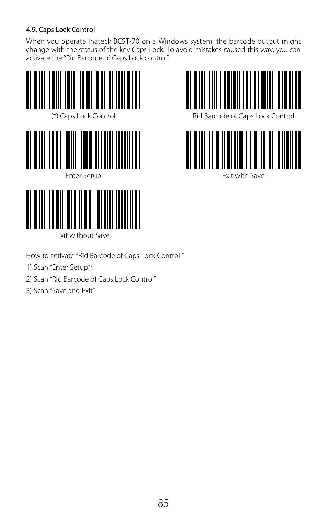## 4.9. Caps Lock Control

When you operate Inateck BCST-70 on a Windows system, the barcode output might<br>change with the status of the key Caps Lock. To avoid mistakes caused this way, you can activate the "Rid Barcode of Caps Lock control".







How to activate "Rid Barcode of Caps Lock Control "

- 1) Scan "Enter Setup";
- 2) Scan "Rid Barcode of Caps Lock Control"

Exit without Save

3) Scan "Save and Exit".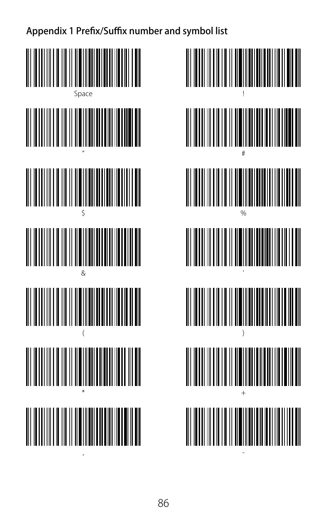Appendix 1 Prefix/Suffix number and symbol list

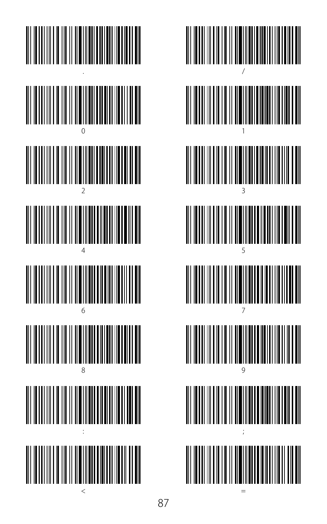

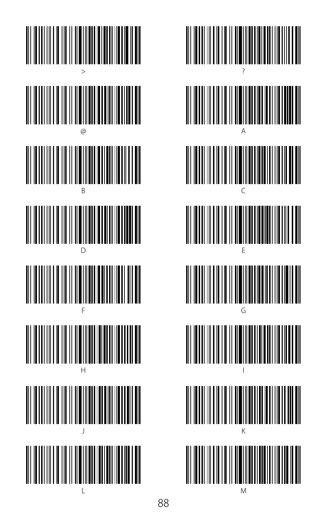

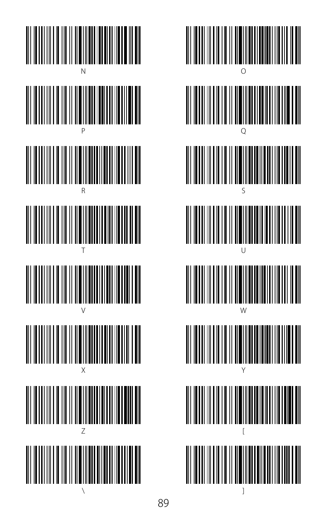

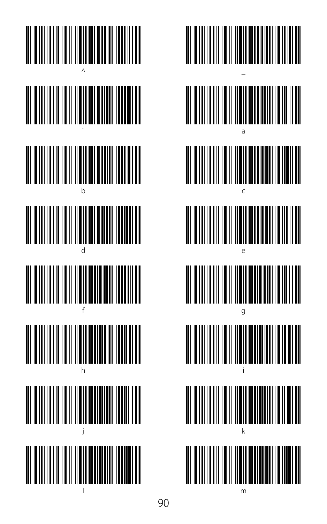

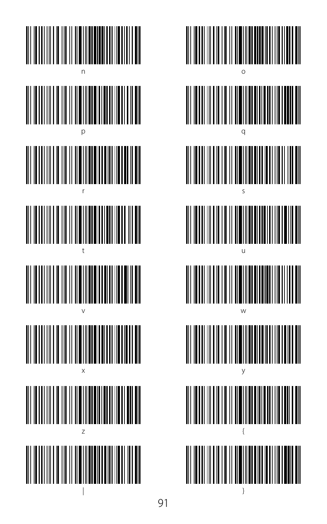

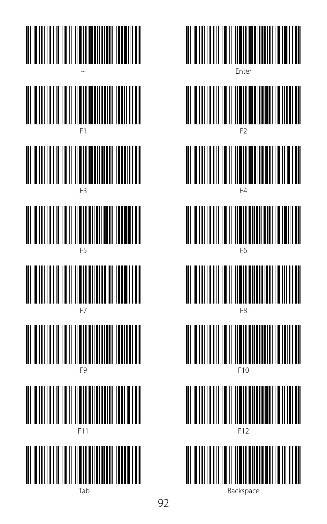

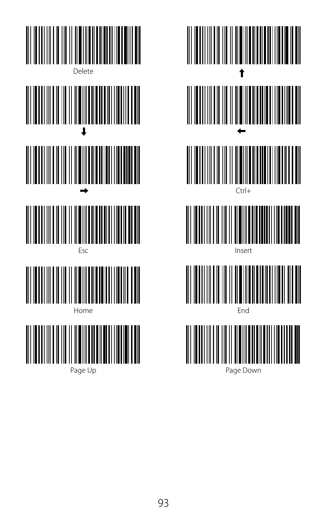

Page Up



Page Down